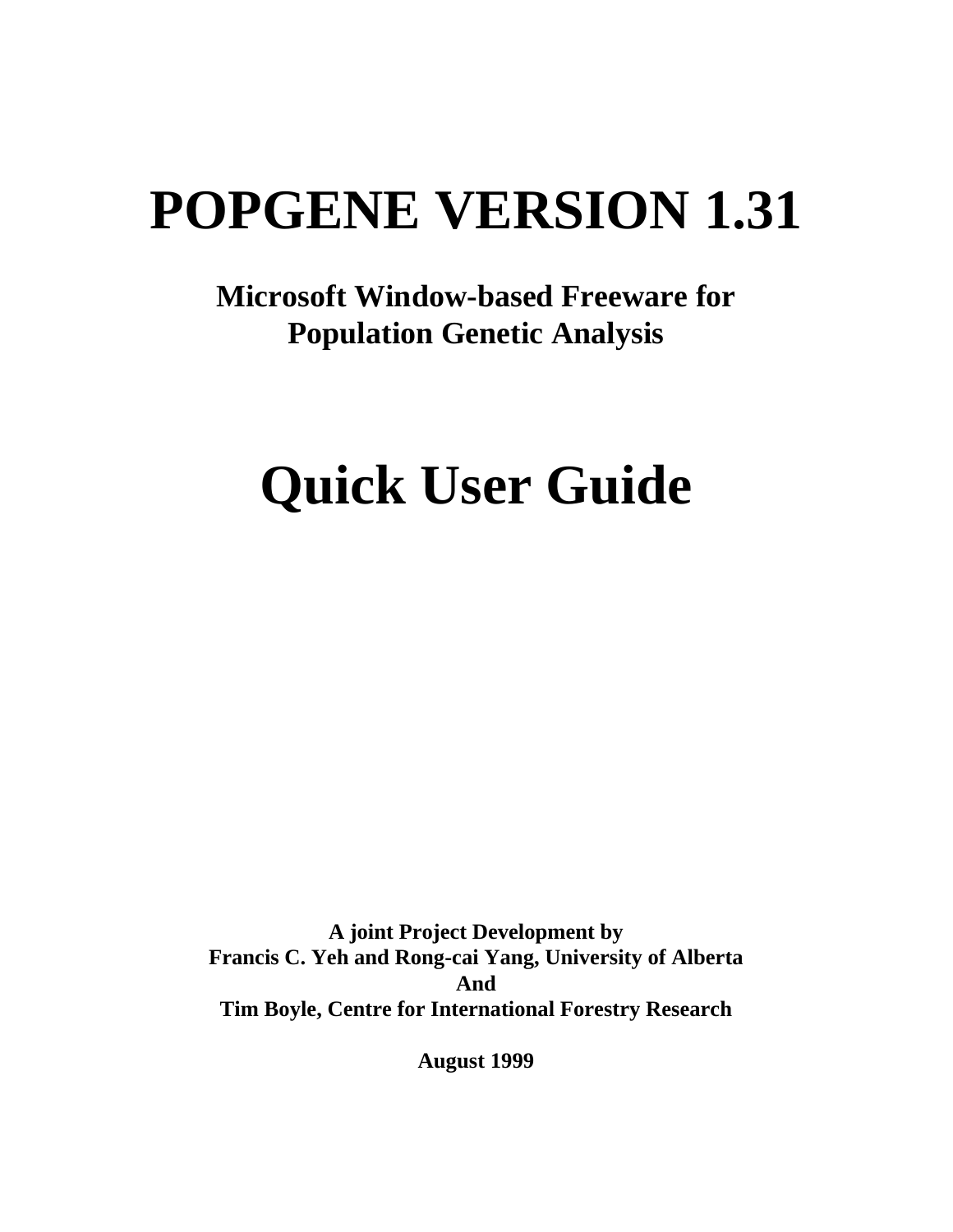# **POPGENE VERSION 1.31**

# **Microsoft Window-based Freeware for Population Genetic Analysis**

# **Quick User Guide**

**A joint Project Development by Francis C. Yeh and Rong-cai Yang, University of Alberta And Tim Boyle, Centre for International Forestry Research**

**August 1999**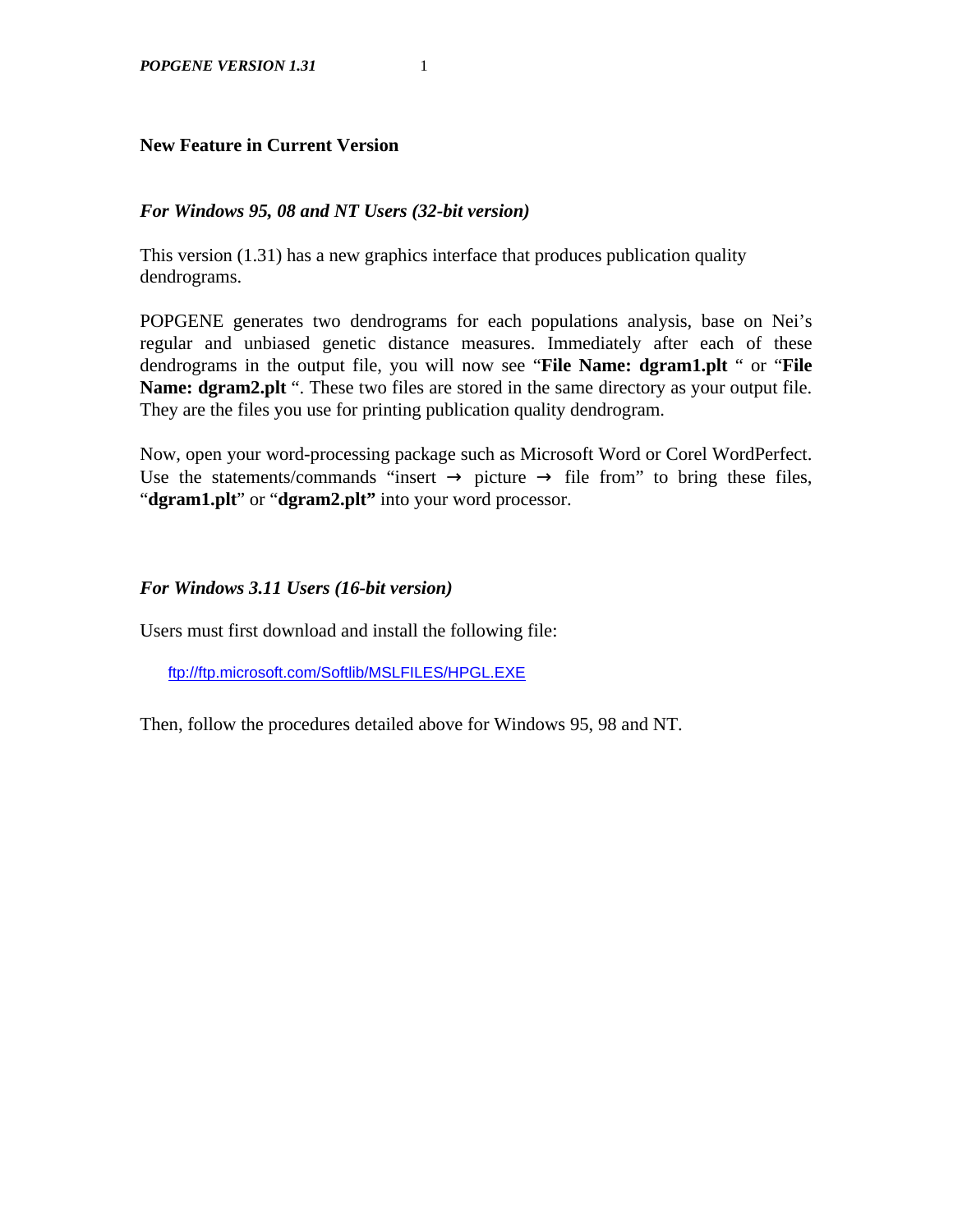# **New Feature in Current Version**

## *For Windows 95, 08 and NT Users (32-bit version)*

This version (1.31) has a new graphics interface that produces publication quality dendrograms.

POPGENE generates two dendrograms for each populations analysis, base on Nei's regular and unbiased genetic distance measures. Immediately after each of these dendrograms in the output file, you will now see "**File Name: dgram1.plt** " or "**File Name: dgram2.plt** ". These two files are stored in the same directory as your output file. They are the files you use for printing publication quality dendrogram.

Now, open your word-processing package such as Microsoft Word or Corel WordPerfect. Use the statements/commands "insert  $\rightarrow$  picture  $\rightarrow$  file from" to bring these files, "**dgram1.plt**" or "**dgram2.plt"** into your word processor.

### *For Windows 3.11 Users (16-bit version)*

Users must first download and install the following file:

ftp://ftp.microsoft.com/Softlib/MSLFILES/HPGL.EXE

Then, follow the procedures detailed above for Windows 95, 98 and NT.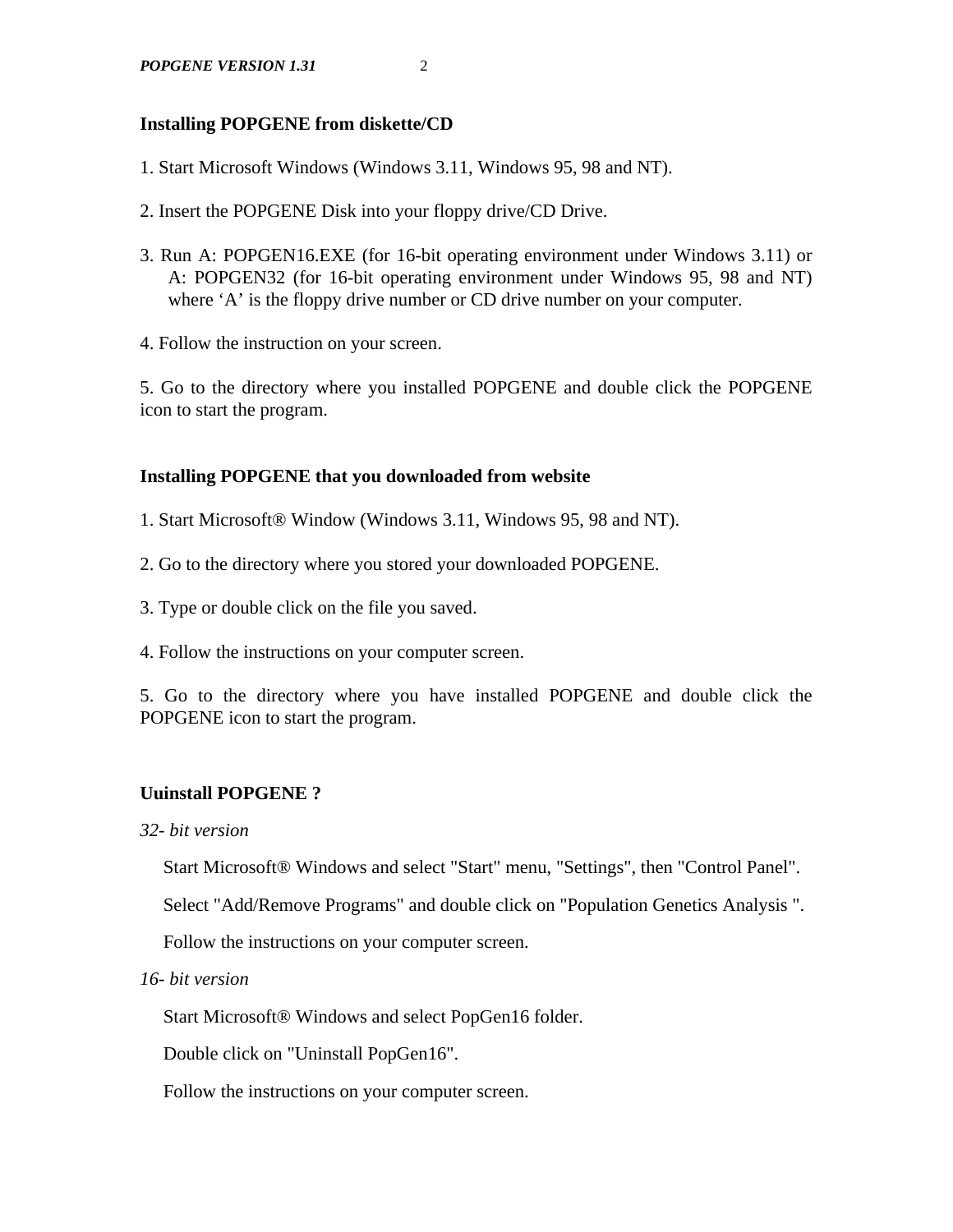# **Installing POPGENE from diskette/CD**

- 1. Start Microsoft Windows (Windows 3.11, Windows 95, 98 and NT).
- 2. Insert the POPGENE Disk into your floppy drive/CD Drive.
- 3. Run A: POPGEN16.EXE (for 16-bit operating environment under Windows 3.11) or A: POPGEN32 (for 16-bit operating environment under Windows 95, 98 and NT) where 'A' is the floppy drive number or CD drive number on your computer.
- 4. Follow the instruction on your screen.

5. Go to the directory where you installed POPGENE and double click the POPGENE icon to start the program.

# **Installing POPGENE that you downloaded from website**

- 1. Start Microsoft® Window (Windows 3.11, Windows 95, 98 and NT).
- 2. Go to the directory where you stored your downloaded POPGENE.
- 3. Type or double click on the file you saved.
- 4. Follow the instructions on your computer screen.

5. Go to the directory where you have installed POPGENE and double click the POPGENE icon to start the program.

# **Uuinstall POPGENE ?**

*32- bit version*

Start Microsoft® Windows and select "Start" menu, "Settings", then "Control Panel".

Select "Add/Remove Programs" and double click on "Population Genetics Analysis ".

Follow the instructions on your computer screen.

*16- bit version*

Start Microsoft® Windows and select PopGen16 folder.

Double click on "Uninstall PopGen16".

Follow the instructions on your computer screen.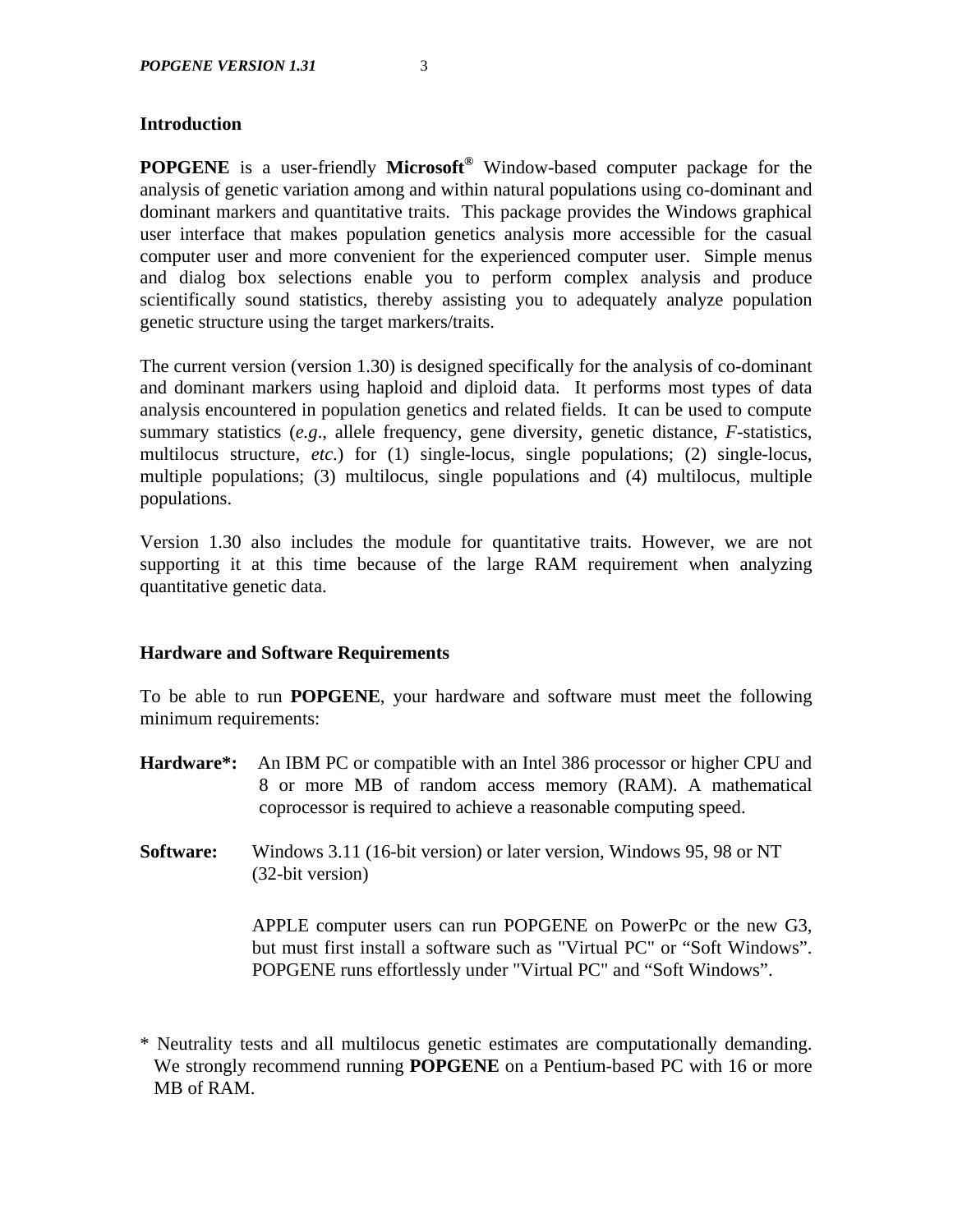# **Introduction**

**POPGENE** is a user-friendly **Microsoft®** Window-based computer package for the analysis of genetic variation among and within natural populations using co-dominant and dominant markers and quantitative traits. This package provides the Windows graphical user interface that makes population genetics analysis more accessible for the casual computer user and more convenient for the experienced computer user. Simple menus and dialog box selections enable you to perform complex analysis and produce scientifically sound statistics, thereby assisting you to adequately analyze population genetic structure using the target markers/traits.

The current version (version 1.30) is designed specifically for the analysis of co-dominant and dominant markers using haploid and diploid data. It performs most types of data analysis encountered in population genetics and related fields. It can be used to compute summary statistics (*e.g*., allele frequency, gene diversity, genetic distance, *F*-statistics, multilocus structure, *etc*.) for (1) single-locus, single populations; (2) single-locus, multiple populations; (3) multilocus, single populations and (4) multilocus, multiple populations.

Version 1.30 also includes the module for quantitative traits. However, we are not supporting it at this time because of the large RAM requirement when analyzing quantitative genetic data.

### **Hardware and Software Requirements**

To be able to run **POPGENE**, your hardware and software must meet the following minimum requirements:

- **Hardware\*:** An IBM PC or compatible with an Intel 386 processor or higher CPU and 8 or more MB of random access memory (RAM). A mathematical coprocessor is required to achieve a reasonable computing speed.
- **Software:** Windows 3.11 (16-bit version) or later version, Windows 95, 98 or NT (32-bit version)

APPLE computer users can run POPGENE on PowerPc or the new G3, but must first install a software such as "Virtual PC" or "Soft Windows". POPGENE runs effortlessly under "Virtual PC" and "Soft Windows".

<sup>\*</sup> Neutrality tests and all multilocus genetic estimates are computationally demanding. We strongly recommend running **POPGENE** on a Pentium-based PC with 16 or more MB of RAM.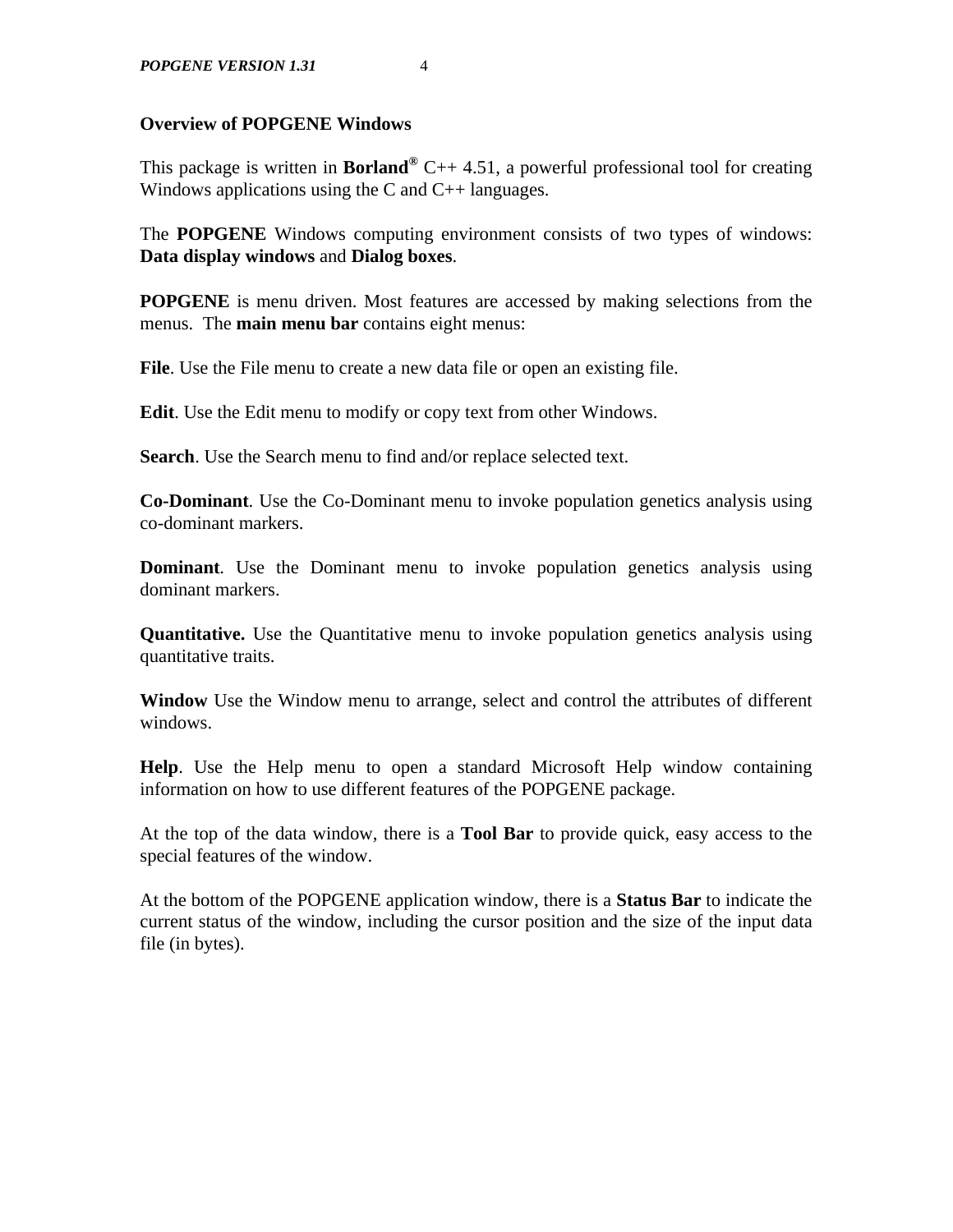### **Overview of POPGENE Windows**

This package is written in **Borland®** C++ 4.51, a powerful professional tool for creating Windows applications using the C and  $C_{++}$  languages.

The **POPGENE** Windows computing environment consists of two types of windows: **Data display windows** and **Dialog boxes**.

**POPGENE** is menu driven. Most features are accessed by making selections from the menus. The **main menu bar** contains eight menus:

**File**. Use the File menu to create a new data file or open an existing file.

**Edit**. Use the Edit menu to modify or copy text from other Windows.

**Search**. Use the Search menu to find and/or replace selected text.

**Co-Dominant**. Use the Co-Dominant menu to invoke population genetics analysis using co-dominant markers.

**Dominant**. Use the Dominant menu to invoke population genetics analysis using dominant markers.

**Quantitative.** Use the Quantitative menu to invoke population genetics analysis using quantitative traits.

**Window** Use the Window menu to arrange, select and control the attributes of different windows.

**Help**. Use the Help menu to open a standard Microsoft Help window containing information on how to use different features of the POPGENE package.

At the top of the data window, there is a **Tool Bar** to provide quick, easy access to the special features of the window.

At the bottom of the POPGENE application window, there is a **Status Bar** to indicate the current status of the window, including the cursor position and the size of the input data file (in bytes).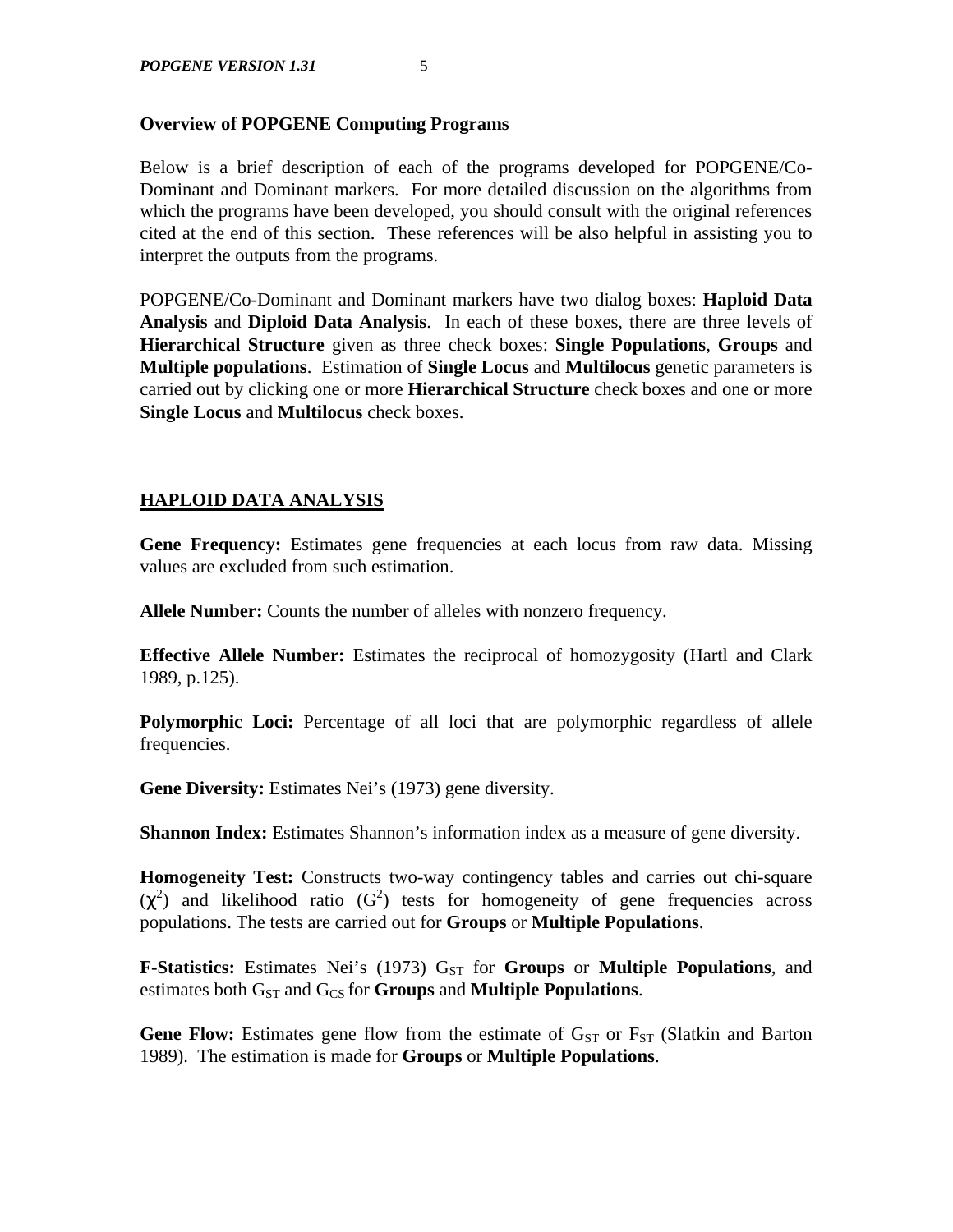# **Overview of POPGENE Computing Programs**

Below is a brief description of each of the programs developed for POPGENE/Co-Dominant and Dominant markers. For more detailed discussion on the algorithms from which the programs have been developed, you should consult with the original references cited at the end of this section. These references will be also helpful in assisting you to interpret the outputs from the programs.

POPGENE/Co-Dominant and Dominant markers have two dialog boxes: **Haploid Data Analysis** and **Diploid Data Analysis**. In each of these boxes, there are three levels of **Hierarchical Structure** given as three check boxes: **Single Populations**, **Groups** and **Multiple populations**. Estimation of **Single Locus** and **Multilocus** genetic parameters is carried out by clicking one or more **Hierarchical Structure** check boxes and one or more **Single Locus** and **Multilocus** check boxes.

# **HAPLOID DATA ANALYSIS**

Gene Frequency: Estimates gene frequencies at each locus from raw data. Missing values are excluded from such estimation.

**Allele Number:** Counts the number of alleles with nonzero frequency.

**Effective Allele Number:** Estimates the reciprocal of homozygosity (Hartl and Clark 1989, p.125).

**Polymorphic Loci:** Percentage of all loci that are polymorphic regardless of allele frequencies.

**Gene Diversity:** Estimates Nei's (1973) gene diversity.

**Shannon Index:** Estimates Shannon's information index as a measure of gene diversity.

**Homogeneity Test:** Constructs two-way contingency tables and carries out chi-square  $(\chi^2)$  and likelihood ratio (G<sup>2</sup>) tests for homogeneity of gene frequencies across populations. The tests are carried out for **Groups** or **Multiple Populations**.

**F-Statistics:** Estimates Nei's (1973) G<sub>ST</sub> for **Groups** or **Multiple Populations**, and estimates both G<sub>ST</sub> and G<sub>CS</sub> for **Groups** and **Multiple Populations**.

**Gene Flow:** Estimates gene flow from the estimate of  $G_{ST}$  or  $F_{ST}$  (Slatkin and Barton 1989). The estimation is made for **Groups** or **Multiple Populations**.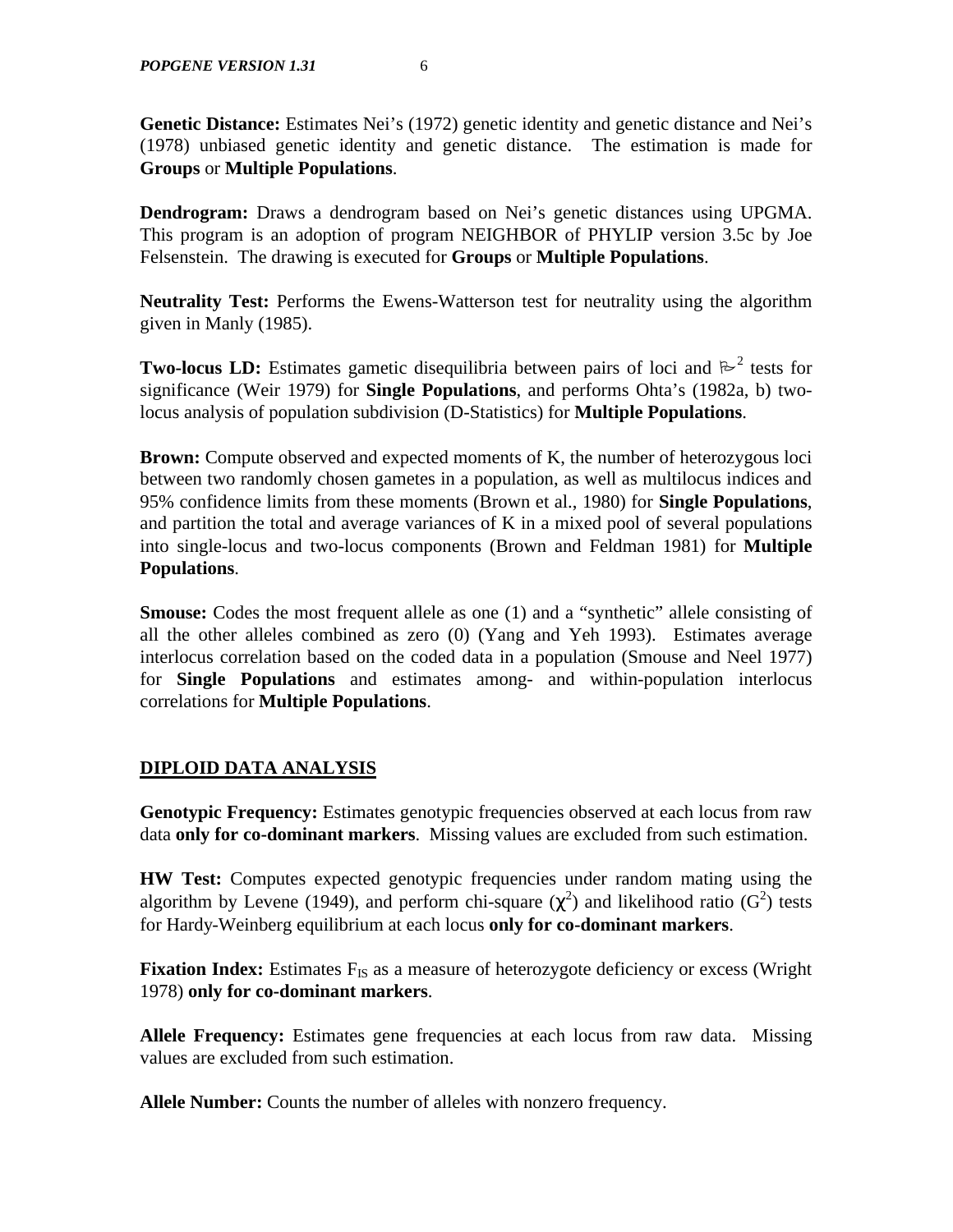**Genetic Distance:** Estimates Nei's (1972) genetic identity and genetic distance and Nei's (1978) unbiased genetic identity and genetic distance. The estimation is made for **Groups** or **Multiple Populations**.

**Dendrogram:** Draws a dendrogram based on Nei's genetic distances using UPGMA. This program is an adoption of program NEIGHBOR of PHYLIP version 3.5c by Joe Felsenstein. The drawing is executed for **Groups** or **Multiple Populations**.

**Neutrality Test:** Performs the Ewens-Watterson test for neutrality using the algorithm given in Manly (1985).

**Two-locus LD:** Estimates gametic disequilibria between pairs of loci and  $\mathbb{R}^2$  tests for significance (Weir 1979) for **Single Populations**, and performs Ohta's (1982a, b) twolocus analysis of population subdivision (D-Statistics) for **Multiple Populations**.

**Brown:** Compute observed and expected moments of K, the number of heterozygous loci between two randomly chosen gametes in a population, as well as multilocus indices and 95% confidence limits from these moments (Brown et al., 1980) for **Single Populations**, and partition the total and average variances of K in a mixed pool of several populations into single-locus and two-locus components (Brown and Feldman 1981) for **Multiple Populations**.

**Smouse:** Codes the most frequent allele as one (1) and a "synthetic" allele consisting of all the other alleles combined as zero (0) (Yang and Yeh 1993). Estimates average interlocus correlation based on the coded data in a population (Smouse and Neel 1977) for **Single Populations** and estimates among- and within-population interlocus correlations for **Multiple Populations**.

# **DIPLOID DATA ANALYSIS**

**Genotypic Frequency:** Estimates genotypic frequencies observed at each locus from raw data **only for co-dominant markers**. Missing values are excluded from such estimation.

**HW Test:** Computes expected genotypic frequencies under random mating using the algorithm by Levene (1949), and perform chi-square  $(\chi^2)$  and likelihood ratio (G<sup>2</sup>) tests for Hardy-Weinberg equilibrium at each locus **only for co-dominant markers**.

**Fixation Index:** Estimates F<sub>IS</sub> as a measure of heterozygote deficiency or excess (Wright) 1978) **only for co-dominant markers**.

**Allele Frequency:** Estimates gene frequencies at each locus from raw data. Missing values are excluded from such estimation.

**Allele Number:** Counts the number of alleles with nonzero frequency.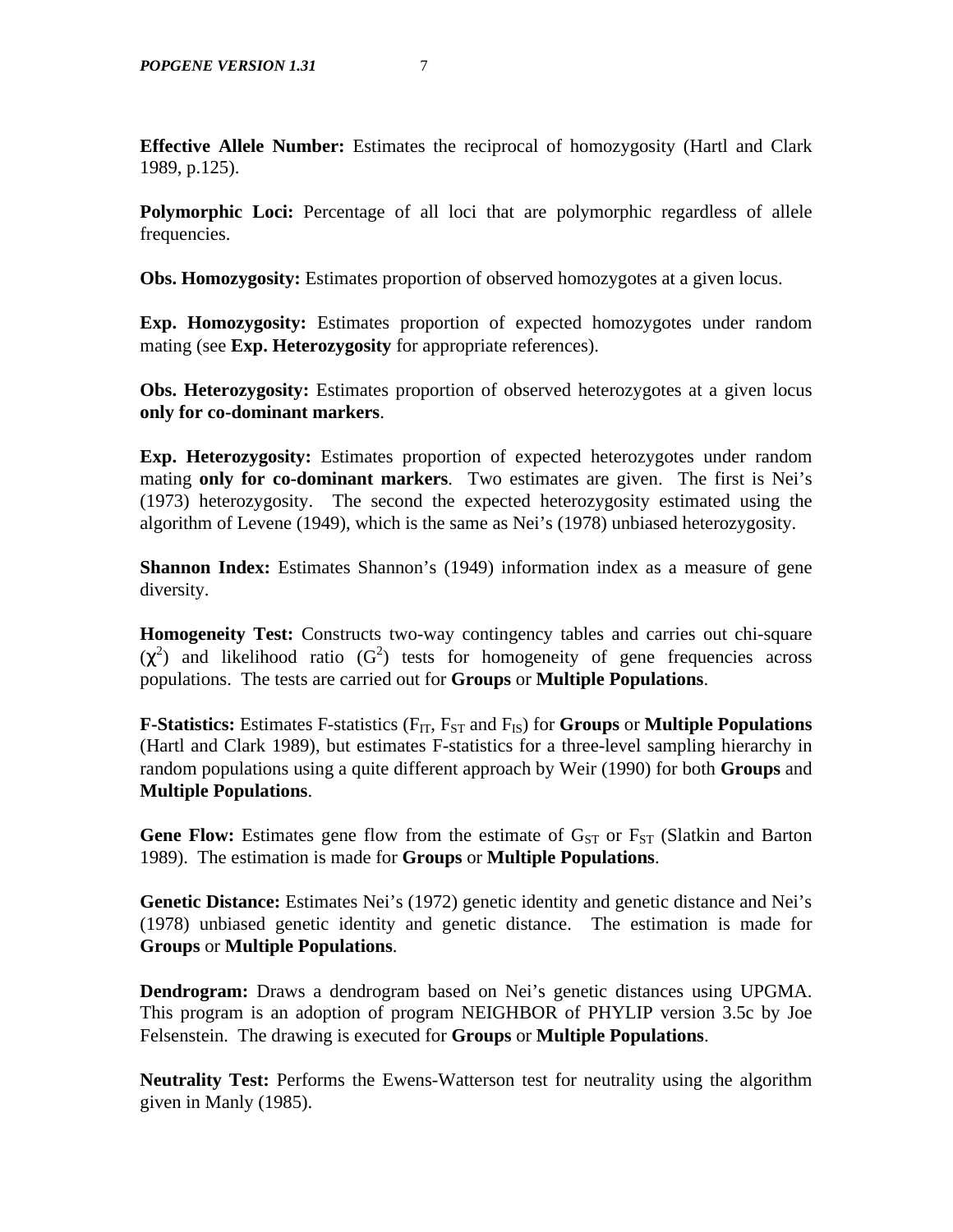**Effective Allele Number:** Estimates the reciprocal of homozygosity (Hartl and Clark 1989, p.125).

**Polymorphic Loci:** Percentage of all loci that are polymorphic regardless of allele frequencies.

**Obs. Homozygosity:** Estimates proportion of observed homozygotes at a given locus.

**Exp. Homozygosity:** Estimates proportion of expected homozygotes under random mating (see **Exp. Heterozygosity** for appropriate references).

**Obs. Heterozygosity:** Estimates proportion of observed heterozygotes at a given locus **only for co-dominant markers**.

**Exp. Heterozygosity:** Estimates proportion of expected heterozygotes under random mating **only for co-dominant markers**. Two estimates are given. The first is Nei's (1973) heterozygosity. The second the expected heterozygosity estimated using the algorithm of Levene (1949), which is the same as Nei's (1978) unbiased heterozygosity.

**Shannon Index:** Estimates Shannon's (1949) information index as a measure of gene diversity.

**Homogeneity Test:** Constructs two-way contingency tables and carries out chi-square  $(\chi^2)$  and likelihood ratio (G<sup>2</sup>) tests for homogeneity of gene frequencies across populations. The tests are carried out for **Groups** or **Multiple Populations**.

**F-Statistics:** Estimates F-statistics (F<sub>IT</sub>, F<sub>ST</sub> and F<sub>IS</sub>) for **Groups** or **Multiple Populations** (Hartl and Clark 1989), but estimates F-statistics for a three-level sampling hierarchy in random populations using a quite different approach by Weir (1990) for both **Groups** and **Multiple Populations**.

**Gene Flow:** Estimates gene flow from the estimate of  $G_{ST}$  or  $F_{ST}$  (Slatkin and Barton 1989). The estimation is made for **Groups** or **Multiple Populations**.

Genetic Distance: Estimates Nei's (1972) genetic identity and genetic distance and Nei's (1978) unbiased genetic identity and genetic distance. The estimation is made for **Groups** or **Multiple Populations**.

**Dendrogram:** Draws a dendrogram based on Nei's genetic distances using UPGMA. This program is an adoption of program NEIGHBOR of PHYLIP version 3.5c by Joe Felsenstein. The drawing is executed for **Groups** or **Multiple Populations**.

**Neutrality Test:** Performs the Ewens-Watterson test for neutrality using the algorithm given in Manly (1985).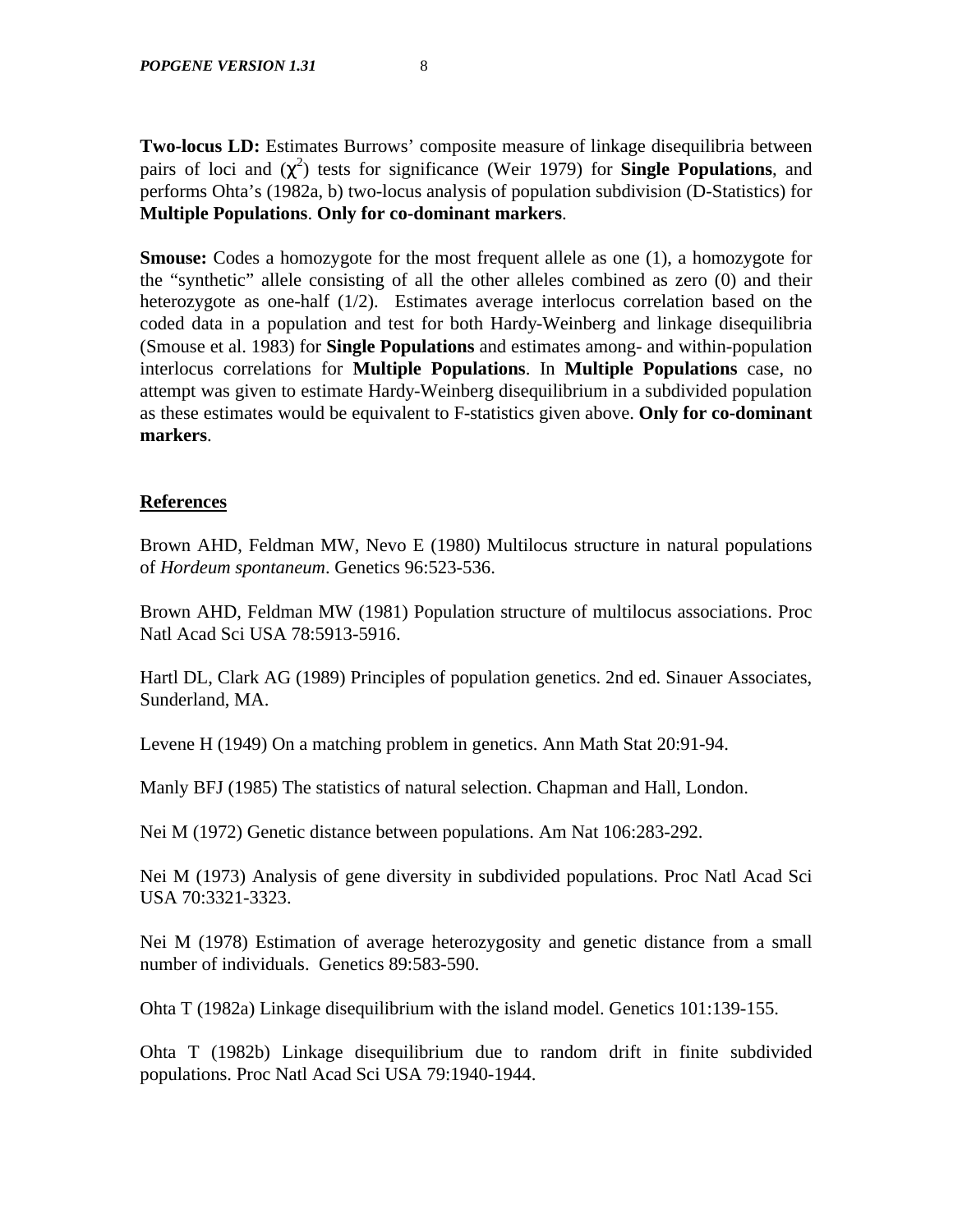**Two-locus LD:** Estimates Burrows' composite measure of linkage disequilibria between pairs of loci and  $(\chi^2)$  tests for significance (Weir 1979) for **Single Populations**, and performs Ohta's (1982a, b) two-locus analysis of population subdivision (D-Statistics) for **Multiple Populations**. **Only for co-dominant markers**.

**Smouse:** Codes a homozygote for the most frequent allele as one (1), a homozygote for the "synthetic" allele consisting of all the other alleles combined as zero (0) and their heterozygote as one-half (1/2). Estimates average interlocus correlation based on the coded data in a population and test for both Hardy-Weinberg and linkage disequilibria (Smouse et al. 1983) for **Single Populations** and estimates among- and within-population interlocus correlations for **Multiple Populations**. In **Multiple Populations** case, no attempt was given to estimate Hardy-Weinberg disequilibrium in a subdivided population as these estimates would be equivalent to F-statistics given above. **Only for co-dominant markers**.

# **References**

Brown AHD, Feldman MW, Nevo E (1980) Multilocus structure in natural populations of *Hordeum spontaneum*. Genetics 96:523-536.

Brown AHD, Feldman MW (1981) Population structure of multilocus associations. Proc Natl Acad Sci USA 78:5913-5916.

Hartl DL, Clark AG (1989) Principles of population genetics. 2nd ed. Sinauer Associates, Sunderland, MA.

Levene H (1949) On a matching problem in genetics. Ann Math Stat 20:91-94.

Manly BFJ (1985) The statistics of natural selection. Chapman and Hall, London.

Nei M (1972) Genetic distance between populations. Am Nat 106:283-292.

Nei M (1973) Analysis of gene diversity in subdivided populations. Proc Natl Acad Sci USA 70:3321-3323.

Nei M (1978) Estimation of average heterozygosity and genetic distance from a small number of individuals. Genetics 89:583-590.

Ohta T (1982a) Linkage disequilibrium with the island model. Genetics 101:139-155.

Ohta T (1982b) Linkage disequilibrium due to random drift in finite subdivided populations. Proc Natl Acad Sci USA 79:1940-1944.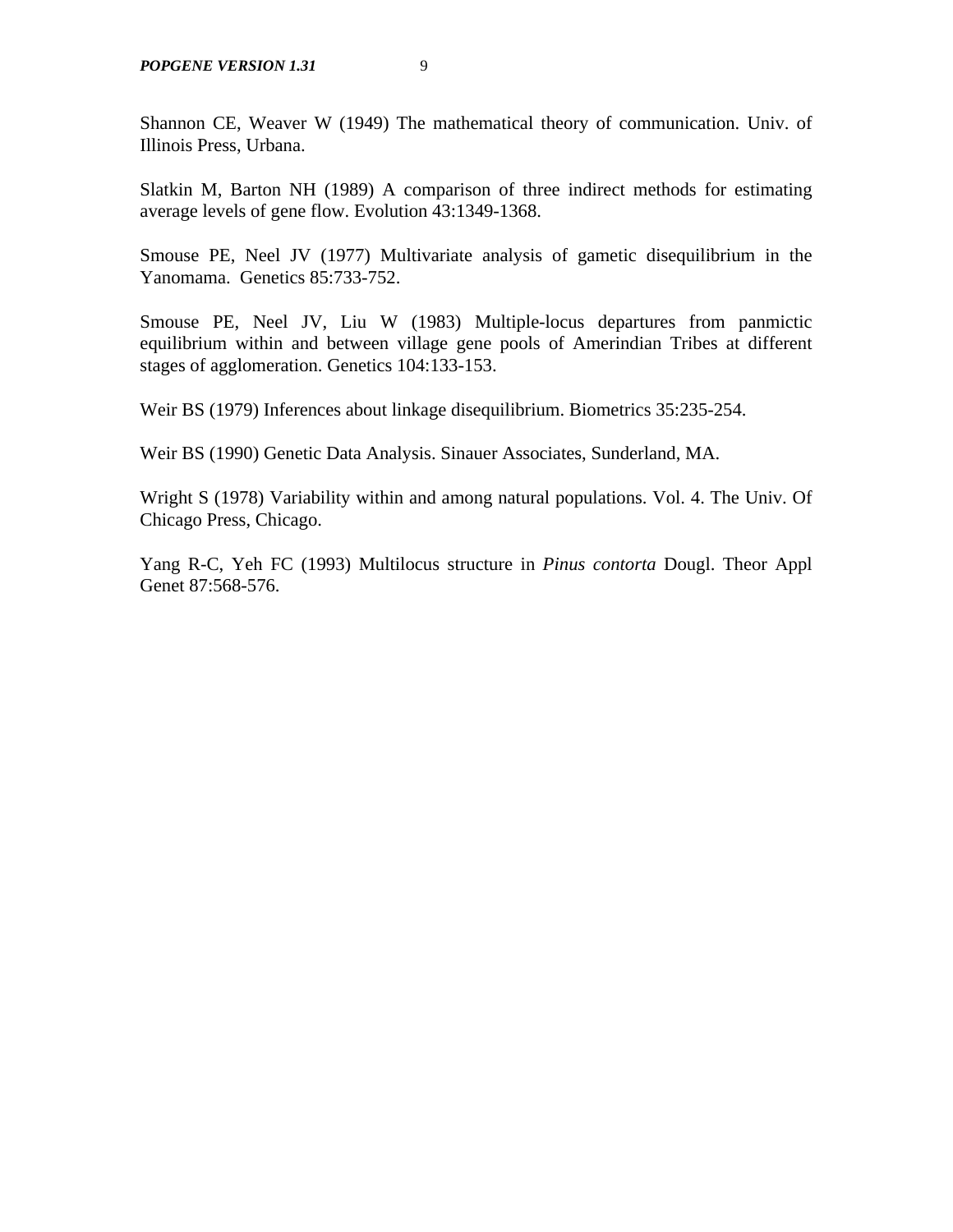Shannon CE, Weaver W (1949) The mathematical theory of communication. Univ. of Illinois Press, Urbana.

Slatkin M, Barton NH (1989) A comparison of three indirect methods for estimating average levels of gene flow. Evolution 43:1349-1368.

Smouse PE, Neel JV (1977) Multivariate analysis of gametic disequilibrium in the Yanomama. Genetics 85:733-752.

Smouse PE, Neel JV, Liu W (1983) Multiple-locus departures from panmictic equilibrium within and between village gene pools of Amerindian Tribes at different stages of agglomeration. Genetics 104:133-153.

Weir BS (1979) Inferences about linkage disequilibrium. Biometrics 35:235-254.

Weir BS (1990) Genetic Data Analysis. Sinauer Associates, Sunderland, MA.

Wright S (1978) Variability within and among natural populations. Vol. 4. The Univ. Of Chicago Press, Chicago.

Yang R-C, Yeh FC (1993) Multilocus structure in *Pinus contorta* Dougl. Theor Appl Genet 87:568-576.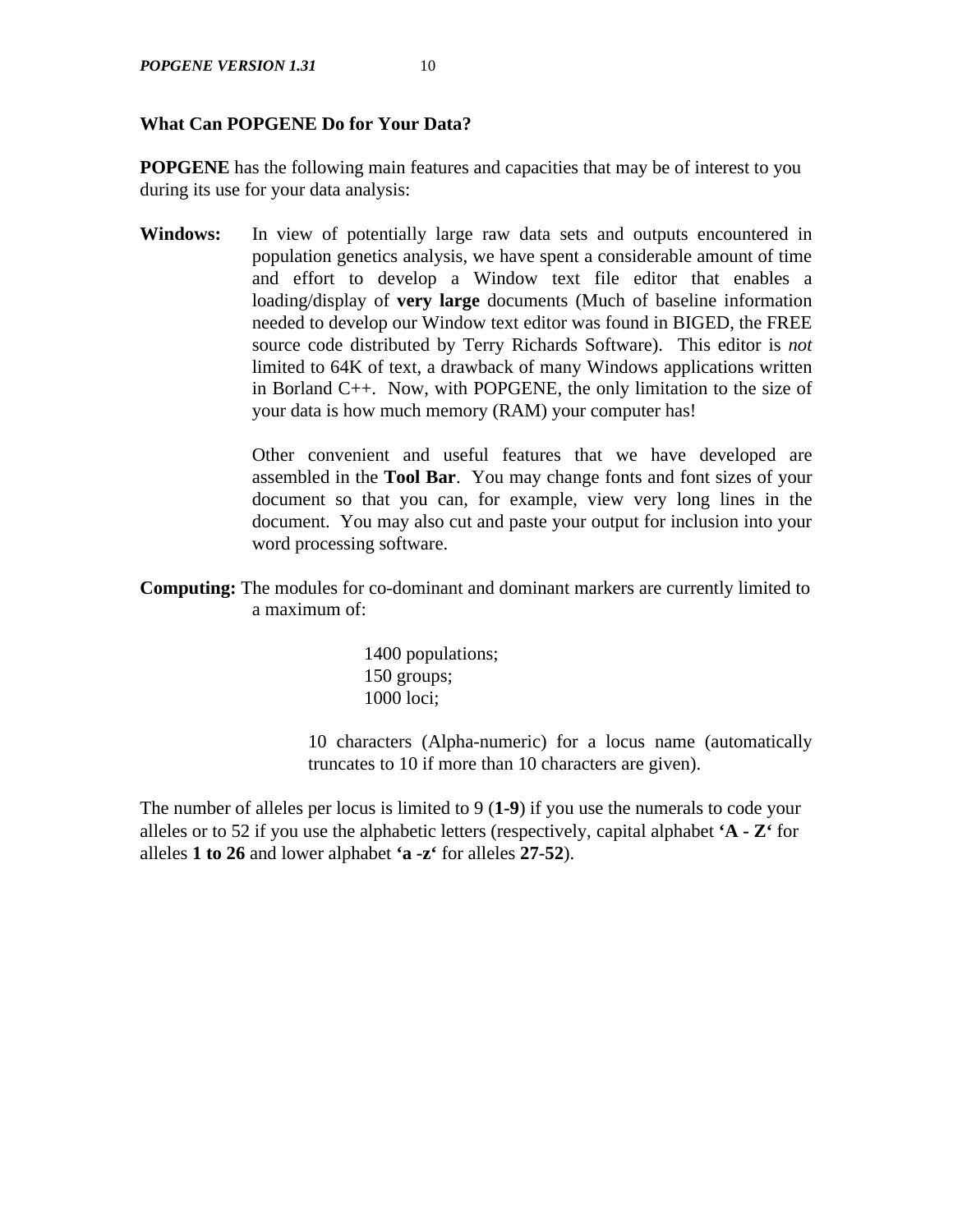#### **What Can POPGENE Do for Your Data?**

**POPGENE** has the following main features and capacities that may be of interest to you during its use for your data analysis:

**Windows:** In view of potentially large raw data sets and outputs encountered in population genetics analysis, we have spent a considerable amount of time and effort to develop a Window text file editor that enables a loading/display of **very large** documents (Much of baseline information needed to develop our Window text editor was found in BIGED, the FREE source code distributed by Terry Richards Software). This editor is *not* limited to 64K of text, a drawback of many Windows applications written in Borland C++. Now, with POPGENE, the only limitation to the size of your data is how much memory (RAM) your computer has!

> Other convenient and useful features that we have developed are assembled in the **Tool Bar**. You may change fonts and font sizes of your document so that you can, for example, view very long lines in the document. You may also cut and paste your output for inclusion into your word processing software.

**Computing:** The modules for co-dominant and dominant markers are currently limited to a maximum of:

> 1400 populations; 150 groups; 1000 loci;

10 characters (Alpha-numeric) for a locus name (automatically truncates to 10 if more than 10 characters are given).

The number of alleles per locus is limited to 9 (**1-9**) if you use the numerals to code your alleles or to 52 if you use the alphabetic letters (respectively, capital alphabet **'A - Z'** for alleles **1 to 26** and lower alphabet **'a -z'** for alleles **27-52**).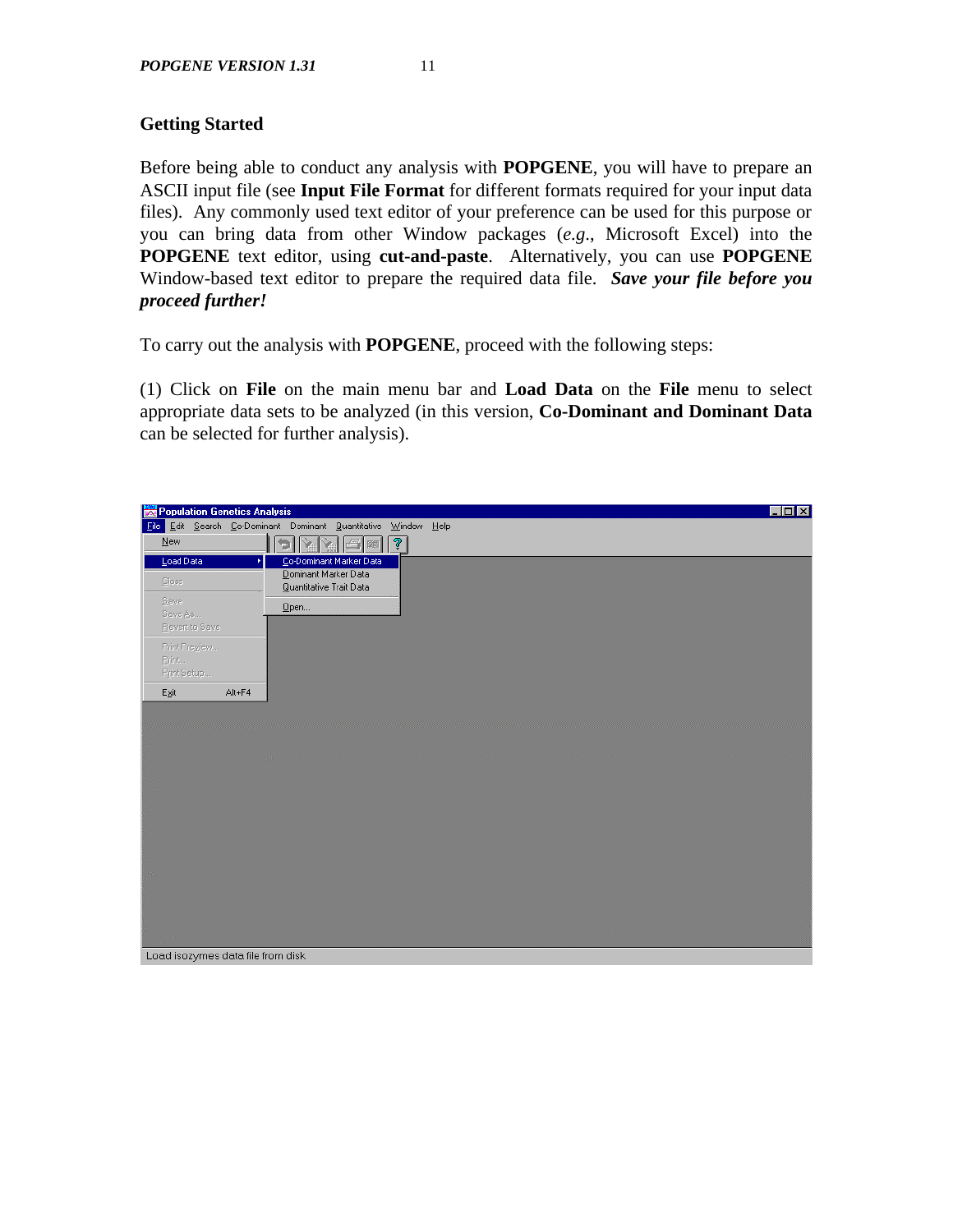# **Getting Started**

Before being able to conduct any analysis with **POPGENE**, you will have to prepare an ASCII input file (see **Input File Format** for different formats required for your input data files). Any commonly used text editor of your preference can be used for this purpose or you can bring data from other Window packages (*e.g*., Microsoft Excel) into the **POPGENE** text editor, using **cut-and-paste**. Alternatively, you can use **POPGENE** Window-based text editor to prepare the required data file. *Save your file before you proceed further!*

To carry out the analysis with **POPGENE**, proceed with the following steps:

(1) Click on **File** on the main menu bar and **Load Data** on the **File** menu to select appropriate data sets to be analyzed (in this version, **Co-Dominant and Dominant Data** can be selected for further analysis).

| Population Genetics Analysis                                   |        |                                                 |                         |             |  |
|----------------------------------------------------------------|--------|-------------------------------------------------|-------------------------|-------------|--|
| File Edit Search Co-Dominant Dominant Quantitative Window Help |        |                                                 |                         |             |  |
| New                                                            | IÐ     | IY.<br>Y                                        | $\Box$                  | $\boxed{?}$ |  |
| Load Data                                                      | Þ.     |                                                 | Co-Dominant Marker Data |             |  |
| Close                                                          |        | Dominant Marker Data<br>Quantitative Trait Data |                         |             |  |
| Save                                                           |        |                                                 |                         |             |  |
| Save As                                                        |        | $Q$ pen                                         |                         |             |  |
| Revert to Save                                                 |        |                                                 |                         |             |  |
| Print Preview                                                  |        |                                                 |                         |             |  |
| Print                                                          |        |                                                 |                         |             |  |
| Print Setup                                                    |        |                                                 |                         |             |  |
| Egit                                                           | Alt+F4 |                                                 |                         |             |  |
|                                                                |        |                                                 |                         |             |  |
|                                                                |        |                                                 |                         |             |  |
|                                                                |        |                                                 |                         |             |  |
|                                                                |        |                                                 |                         |             |  |
|                                                                |        |                                                 |                         |             |  |
|                                                                |        |                                                 |                         |             |  |
|                                                                |        |                                                 |                         |             |  |
|                                                                |        |                                                 |                         |             |  |
|                                                                |        |                                                 |                         |             |  |
|                                                                |        |                                                 |                         |             |  |
|                                                                |        |                                                 |                         |             |  |
|                                                                |        |                                                 |                         |             |  |
|                                                                |        |                                                 |                         |             |  |
|                                                                |        |                                                 |                         |             |  |
|                                                                |        |                                                 |                         |             |  |
| Load isozymes data file from disk                              |        |                                                 |                         |             |  |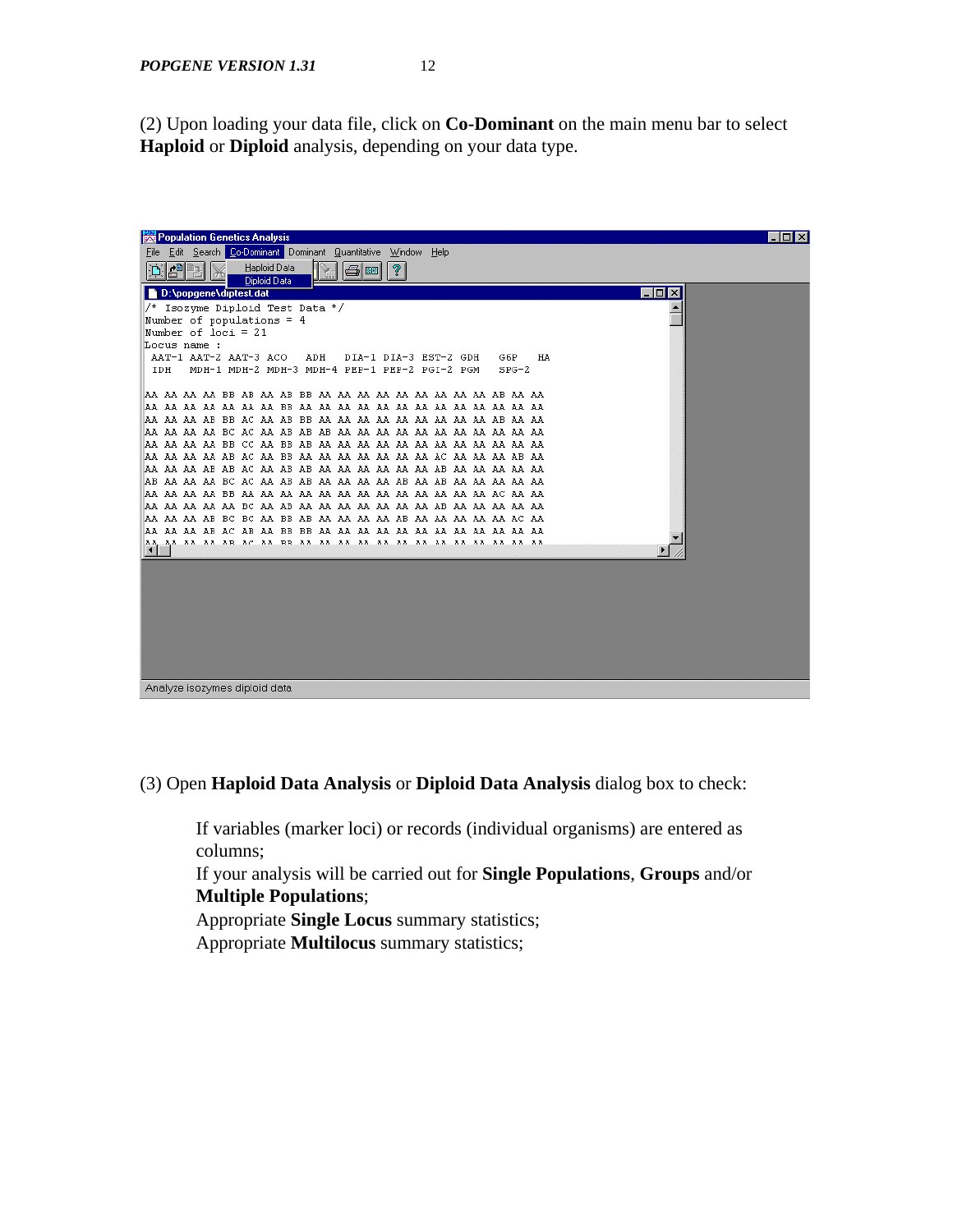(2) Upon loading your data file, click on **Co-Dominant** on the main menu bar to select **Haploid** or **Diploid** analysis, depending on your data type.



#### (3) Open **Haploid Data Analysis** or **Diploid Data Analysis** dialog box to check:

If variables (marker loci) or records (individual organisms) are entered as columns;

If your analysis will be carried out for **Single Populations**, **Groups** and/or **Multiple Populations**;

Appropriate **Single Locus** summary statistics; Appropriate **Multilocus** summary statistics;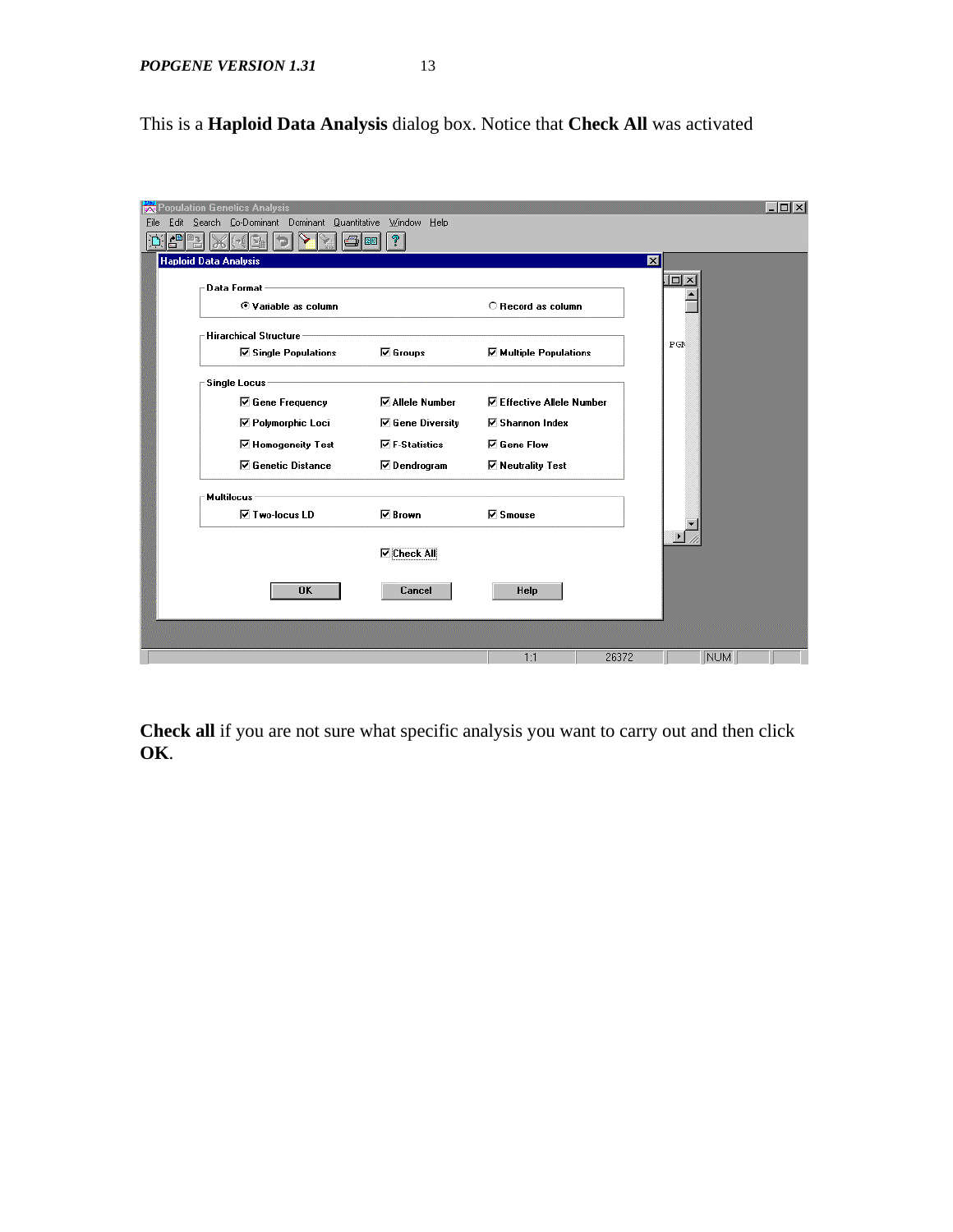This is a **Haploid Data Analysis** dialog box. Notice that **Check All** was activated

| Population Genetics Analysis<br><b>BAR</b><br>Edit Search Co-Dominant Dominant Quantitative Window Help<br>File |           |                         |                                  |                         |                       | - 101 × 1 |
|-----------------------------------------------------------------------------------------------------------------|-----------|-------------------------|----------------------------------|-------------------------|-----------------------|-----------|
|                                                                                                                 |           |                         |                                  |                         |                       |           |
| <b>Haploid Data Analysis</b>                                                                                    |           |                         |                                  | $\overline{\mathbf{x}}$ |                       |           |
| Data Format -                                                                                                   |           |                         |                                  |                         | $\Box$                |           |
| © Variable as column                                                                                            |           |                         | C Record as column               |                         |                       |           |
| Hirarchical Structure<br><b>☑</b> Single Populations                                                            |           | <b>☑</b> Groups         | $\boxdot$ Multiple Populations   |                         | P G N                 |           |
| <b>Single Locus</b>                                                                                             |           |                         |                                  |                         |                       |           |
| <b>☑</b> Gene Frequency                                                                                         |           | <b>⊽Allele Number</b>   | <b>▽ Effective Allele Number</b> |                         |                       |           |
| <b>☑ Polymorphic Loci</b>                                                                                       |           | <b>☑</b> Gene Diversity | <b>☑</b> Shannon Index           |                         |                       |           |
| <b>☑</b> Homogeneity Test                                                                                       |           | $\nabla$ F-Statistics   | <b>⊽</b> Gene Flow               |                         |                       |           |
| <b>☑</b> Genetic Distance                                                                                       |           | $\nabla$ Dendrogram     | <b>☑ Neutrality Test</b>         |                         |                       |           |
| <b>Multilocus</b>                                                                                               |           |                         |                                  |                         |                       |           |
| <b>⊽</b> Two-locus LD                                                                                           |           | <b>⊡</b> Brown          | $\nabla$ Smouse                  |                         |                       |           |
|                                                                                                                 |           | $\nabla$ Check All      |                                  |                         | $\blacktriangleright$ |           |
|                                                                                                                 | <b>OK</b> | Cancel                  | Help                             |                         |                       |           |
|                                                                                                                 |           |                         |                                  |                         |                       |           |
|                                                                                                                 |           |                         | 1:1                              | 26372                   | <b>NUM</b>            |           |

**Check all** if you are not sure what specific analysis you want to carry out and then click **OK**.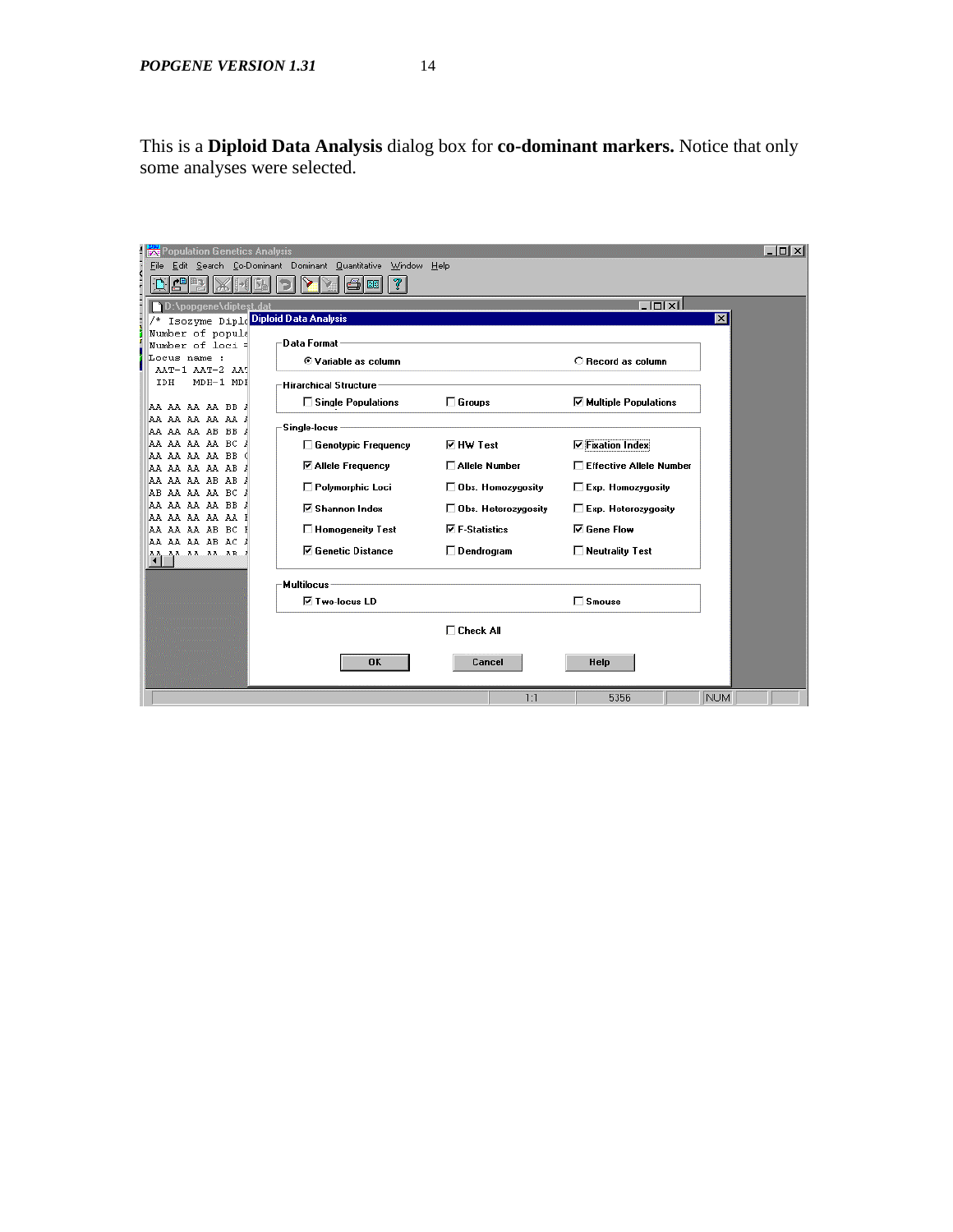This is a **Diploid Data Analysis** dialog box for **co-dominant markers.** Notice that only some analyses were selected.

| <b>Population Genetics Analysis</b><br>鷪 |                                                         |                             |                               | $ \Box$ $\times$ |
|------------------------------------------|---------------------------------------------------------|-----------------------------|-------------------------------|------------------|
| File                                     | Edit Search Co-Dominant Dominant Quantitative<br>Window | $He$ lp                     |                               |                  |
|                                          | ?<br>日開                                                 |                             |                               |                  |
| D:\popgene\diptest.dal                   |                                                         |                             | - lotxil                      |                  |
| Isozyme Diplo Diploid Data Analysis      |                                                         |                             |                               | $\vert x \vert$  |
| Number of popula                         |                                                         |                             |                               |                  |
| Number of loci =                         | <b>Data Format</b>                                      |                             |                               |                  |
| Locus name :                             | © Variable as column                                    |                             | C Record as column            |                  |
| AAT-1 AAT-2 AAT                          |                                                         |                             |                               |                  |
| MDH-1 MDI<br>IDH                         | Hirarchical Structure ·                                 |                             |                               |                  |
| AA AA AA AA BB J                         | □ Single Populations                                    | $\Box$ Groups               | <b>☑ Multiple Populations</b> |                  |
| aa aa aa aa aa i                         |                                                         |                             |                               |                  |
| AA AA AA AB BB J                         | Single-locus                                            |                             |                               |                  |
| AA AA AA BC<br>AA.                       | □ Genotypic Frequency                                   | <b>⊽</b> HW Test            | <b>▽ Fixation Index</b>       |                  |
| AA AA AA BB<br>AA                        | <b>⊠ Allele Frequency</b>                               | □ Allele Number             | □ Effective Allele Number     |                  |
| AA AA AA AB<br>AA                        |                                                         |                             |                               |                  |
| AA AA AB AB<br>AA AA AA BC J             | Polymorphic Loci                                        | $\square$ Obs. Homozygosity | □ Exp. Homozygosity           |                  |
| AA AA AA BB A                            |                                                         |                             |                               |                  |
| AA AA AA AA I                            | <b>☑</b> Shannon Index                                  | □ Obs. Heterozygosity       | $\Box$ Exp. Heterozygosity    |                  |
| AA AA AA AB BC                           | □ Homogeneity Test                                      | <b>▽ F-Statistics</b>       | <b>⊽</b> Gene Flow            |                  |
| AA AA AA AB AC                           | <b>☑ Genetic Distance</b>                               | $\Box$ Dendrogram           | $\Box$ Neutrality Test        |                  |
| 33 33 33 3B                              |                                                         |                             |                               |                  |
|                                          | <b>Multilocus</b>                                       |                             |                               |                  |
|                                          | <b>⊽ Two-locus LD</b>                                   |                             | $\Box$ Smouse                 |                  |
|                                          |                                                         |                             |                               |                  |
|                                          |                                                         | $\Box$ Check All            |                               |                  |
|                                          |                                                         |                             |                               |                  |
|                                          | <b>OK</b>                                               | Cancel                      | Help                          |                  |
|                                          |                                                         |                             |                               |                  |
|                                          |                                                         |                             |                               |                  |
|                                          |                                                         | 1:1                         | 5356                          | <b>NUM</b>       |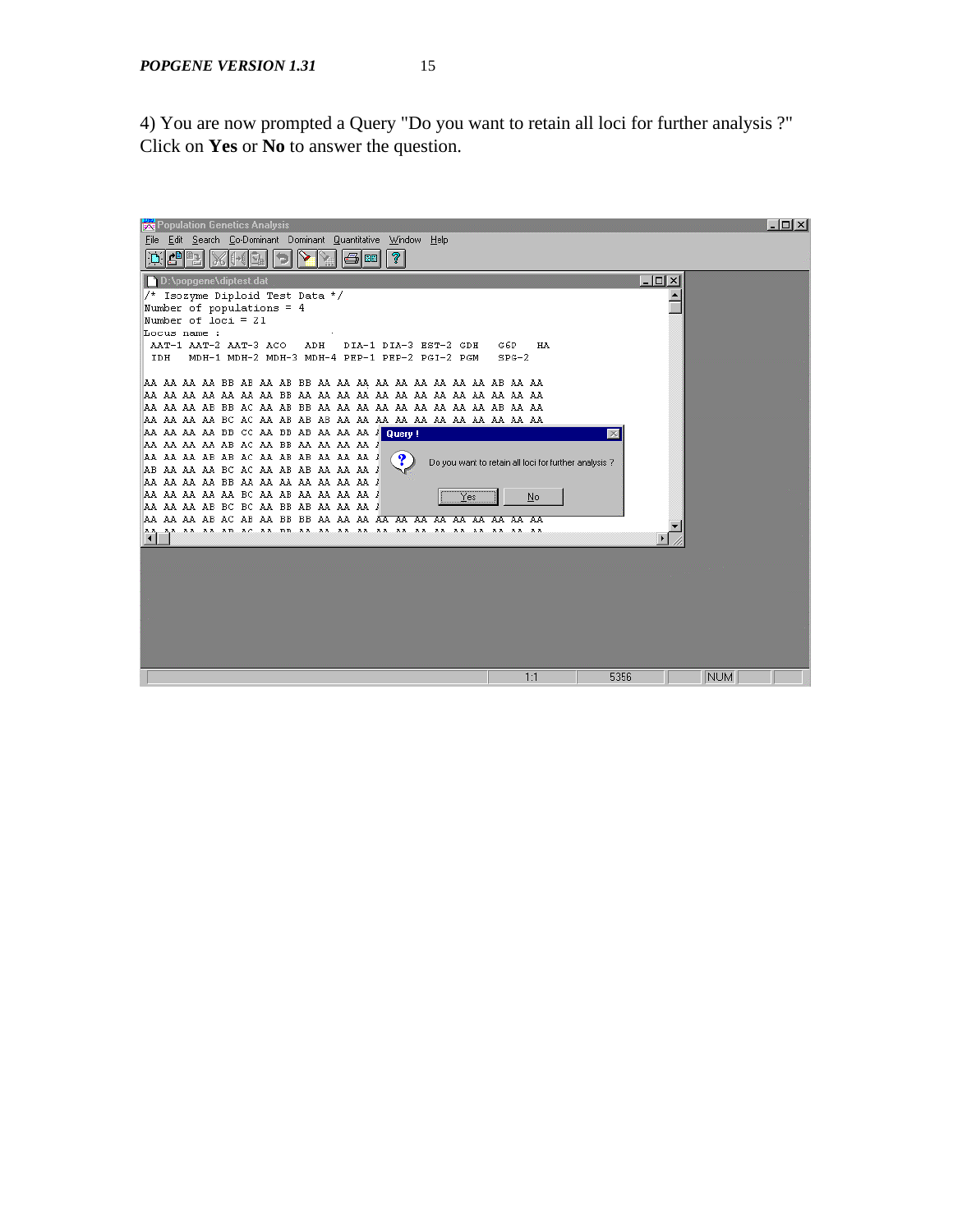4) You are now prompted a Query "Do you want to retain all loci for further analysis ?" Click on **Yes** or **No** to answer the question.

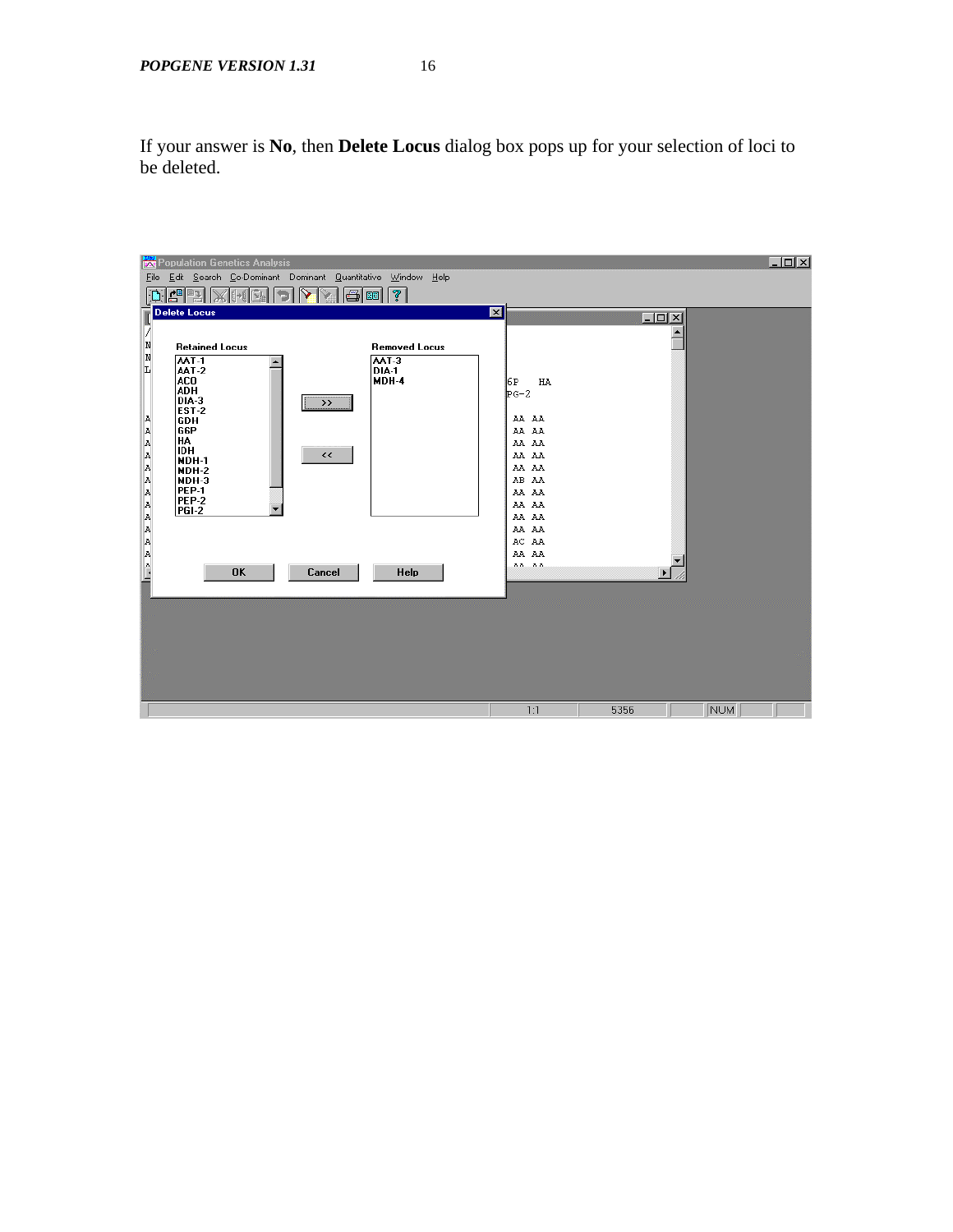If your answer is **No**, then **Delete Locus** dialog box pops up for your selection of loci to be deleted.

| <b>Population Genetics Analysis</b>                               |                      |                  | $ \Box$ $\times$ |
|-------------------------------------------------------------------|----------------------|------------------|------------------|
| Edit Search Co-Dominant Dominant Quantitative Window Help<br>Eile |                      |                  |                  |
| $\mathbf{E}^{\text{min}}$<br>र्।<br>子岡<br>  C                     |                      |                  |                  |
| <b>Delete Locus</b>                                               | 図                    | $ \Box$ $\times$ |                  |
| И                                                                 |                      |                  |                  |
| N<br><b>Retained Locus</b><br>N                                   | <b>Removed Locus</b> |                  |                  |
| AAT-1<br>AAT-3<br>L<br>AAT-2<br>DIA-1                             |                      |                  |                  |
| ACO.<br>MDH-4<br><b>ADH</b>                                       | 6P<br>HA             |                  |                  |
| DIA-3<br>$\rightarrow$                                            | $p_{G-2}$            |                  |                  |
| EST-2<br>A<br><b>GDH</b>                                          | AA AA                |                  |                  |
| GGP<br>HA                                                         | AA AA                |                  |                  |
| <b>IDH</b><br>$\prec\prec$                                        | AA AA<br>AA AA       |                  |                  |
| MDH-1<br>MDH-2                                                    | AA AA                |                  |                  |
| MDH-3<br>PEP-1                                                    | AB AA                |                  |                  |
| <b>PEP-2</b>                                                      | AA AA<br>AA AA       |                  |                  |
| PGI-2                                                             | AA AA                |                  |                  |
|                                                                   | AA AA                |                  |                  |
|                                                                   | AC AA<br>AA AA       |                  |                  |
| A A A A A A A A A A A A A A A A<br><b>OK</b><br>Cancel            | $33 - 33$<br>Help    |                  |                  |
|                                                                   |                      |                  |                  |
|                                                                   |                      |                  |                  |
|                                                                   |                      |                  |                  |
|                                                                   |                      |                  |                  |
|                                                                   |                      |                  |                  |
|                                                                   |                      |                  |                  |
|                                                                   |                      |                  |                  |
|                                                                   | 1:1                  | 5356             | NUM              |
|                                                                   |                      |                  |                  |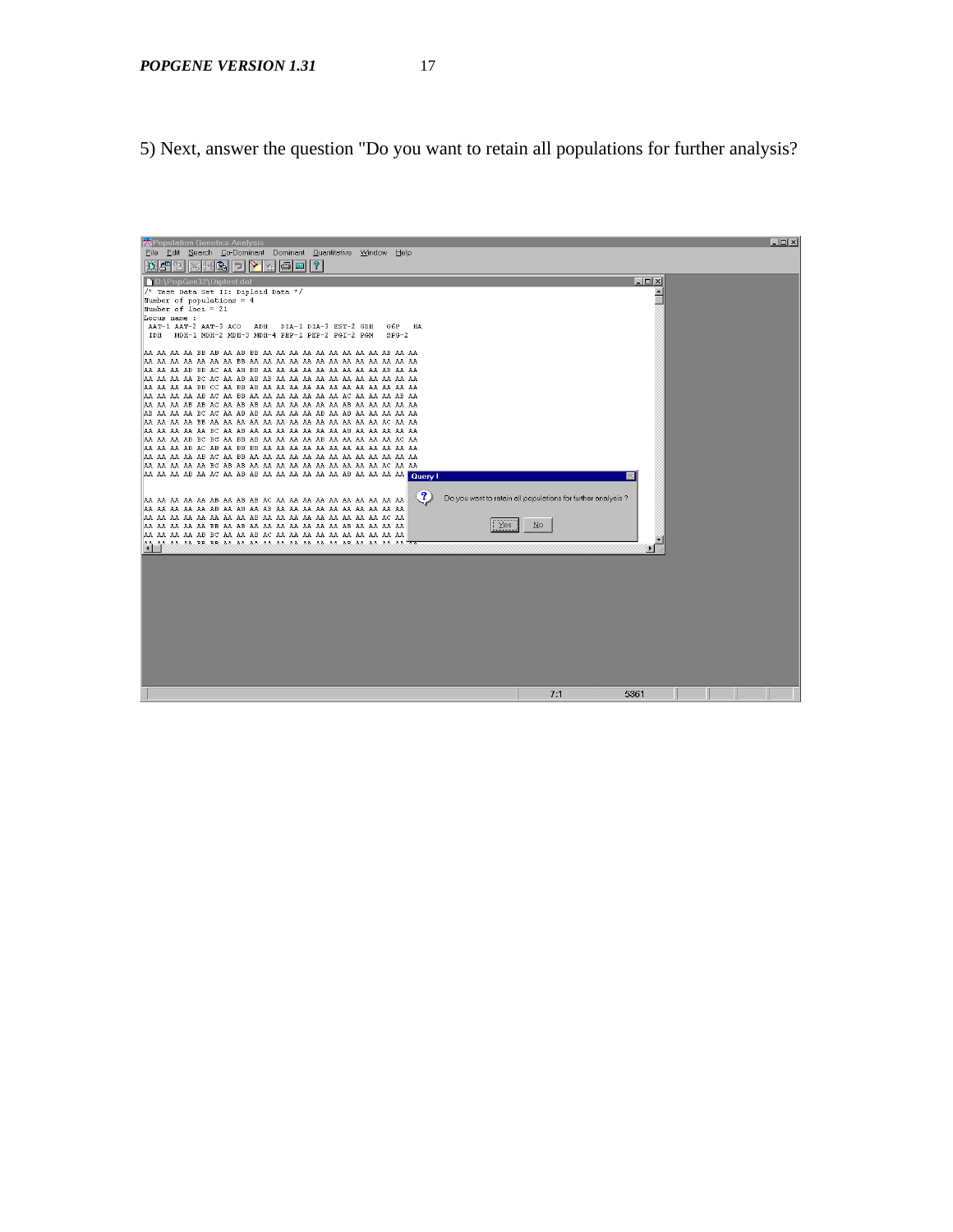5) Next, answer the question "Do you want to retain all populations for further analysis?

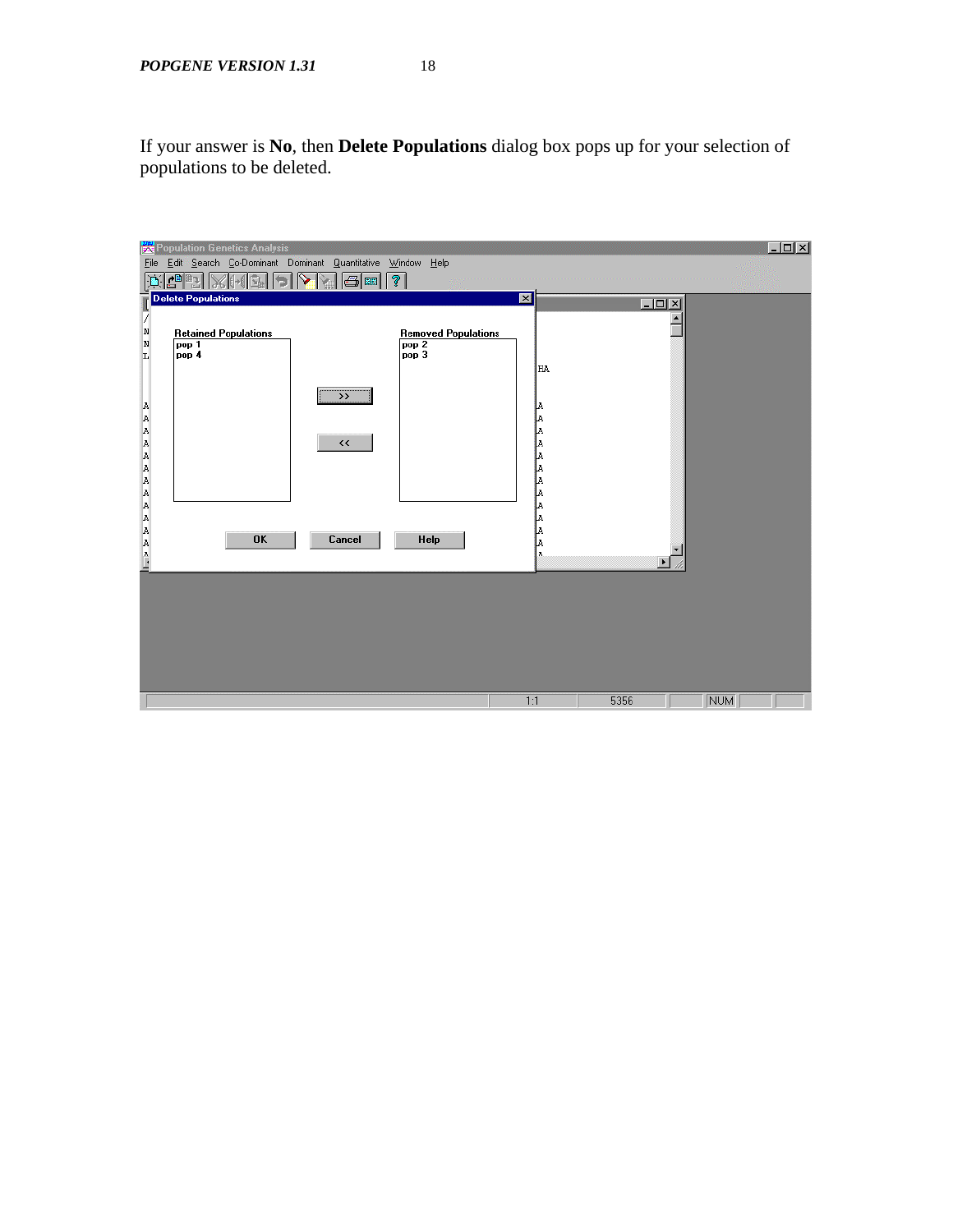If your answer is **No**, then **Delete Populations** dialog box pops up for your selection of populations to be deleted.

| Population Genetics Analysis                                                              |                         |        | $   \times$ $-$ |
|-------------------------------------------------------------------------------------------|-------------------------|--------|-----------------|
| File Edit Search Co-Dominant Dominant Quantitative Window Help                            |                         |        |                 |
| $\overline{\mathbb{C}[\mathbb{H}][?]}$<br>d <sup>e</sup> e<br>$\mathbf{D}$<br>e           |                         |        |                 |
| <b>Delete Populations</b>                                                                 | $\overline{\mathbf{x}}$ | $-10x$ |                 |
| Z                                                                                         |                         |        |                 |
| N<br><b>Retained Populations</b><br><b>Removed Populations</b>                            |                         |        |                 |
| $\frac{\texttt{N}}{\texttt{L}}$<br>pop <sub>2</sub><br>pop 1<br>pop <sub>3</sub><br>pop 4 |                         |        |                 |
|                                                                                           | HA.                     |        |                 |
|                                                                                           |                         |        |                 |
| $\rightarrow$                                                                             | Þ.                      |        |                 |
|                                                                                           | a<br> a                 |        |                 |
| $\boldsymbol{\checkmark}$                                                                 | þ.                      |        |                 |
|                                                                                           | ļ.                      |        |                 |
|                                                                                           | þ.                      |        |                 |
|                                                                                           |                         |        |                 |
|                                                                                           |                         |        |                 |
|                                                                                           | A A A A                 |        |                 |
| <b>OK</b><br>Cancel<br>Help                                                               | ļ.                      |        |                 |
| A A A A A A A A A A A A A A A ---                                                         | l٨                      |        |                 |
|                                                                                           |                         |        |                 |
|                                                                                           |                         |        |                 |
|                                                                                           |                         |        |                 |
|                                                                                           |                         |        |                 |
|                                                                                           |                         |        |                 |
|                                                                                           |                         |        |                 |
|                                                                                           |                         |        |                 |
|                                                                                           | 1:1                     | 5356   | <b>NUM</b>      |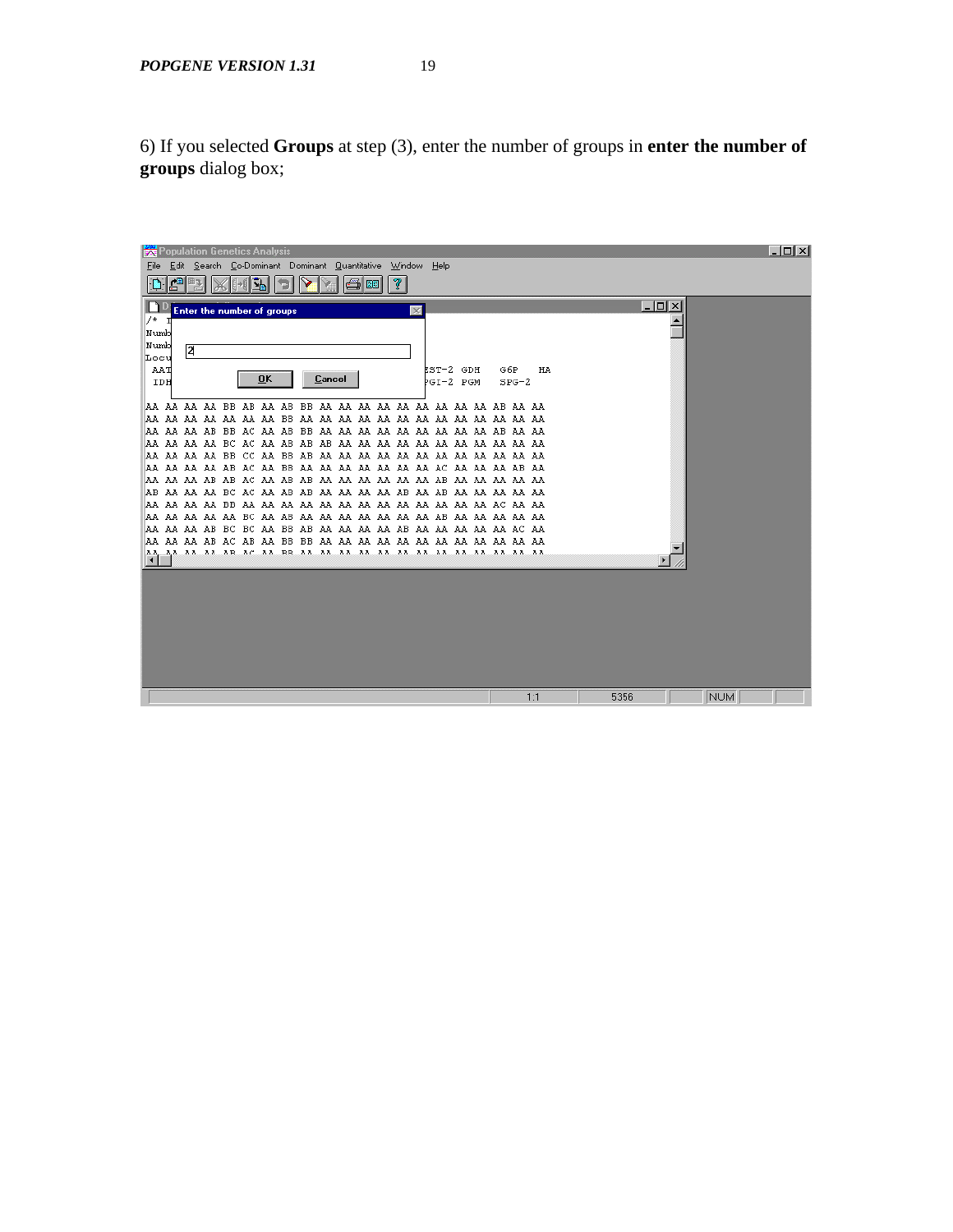6) If you selected **Groups** at step (3), enter the number of groups in **enter the number of groups** dialog box;

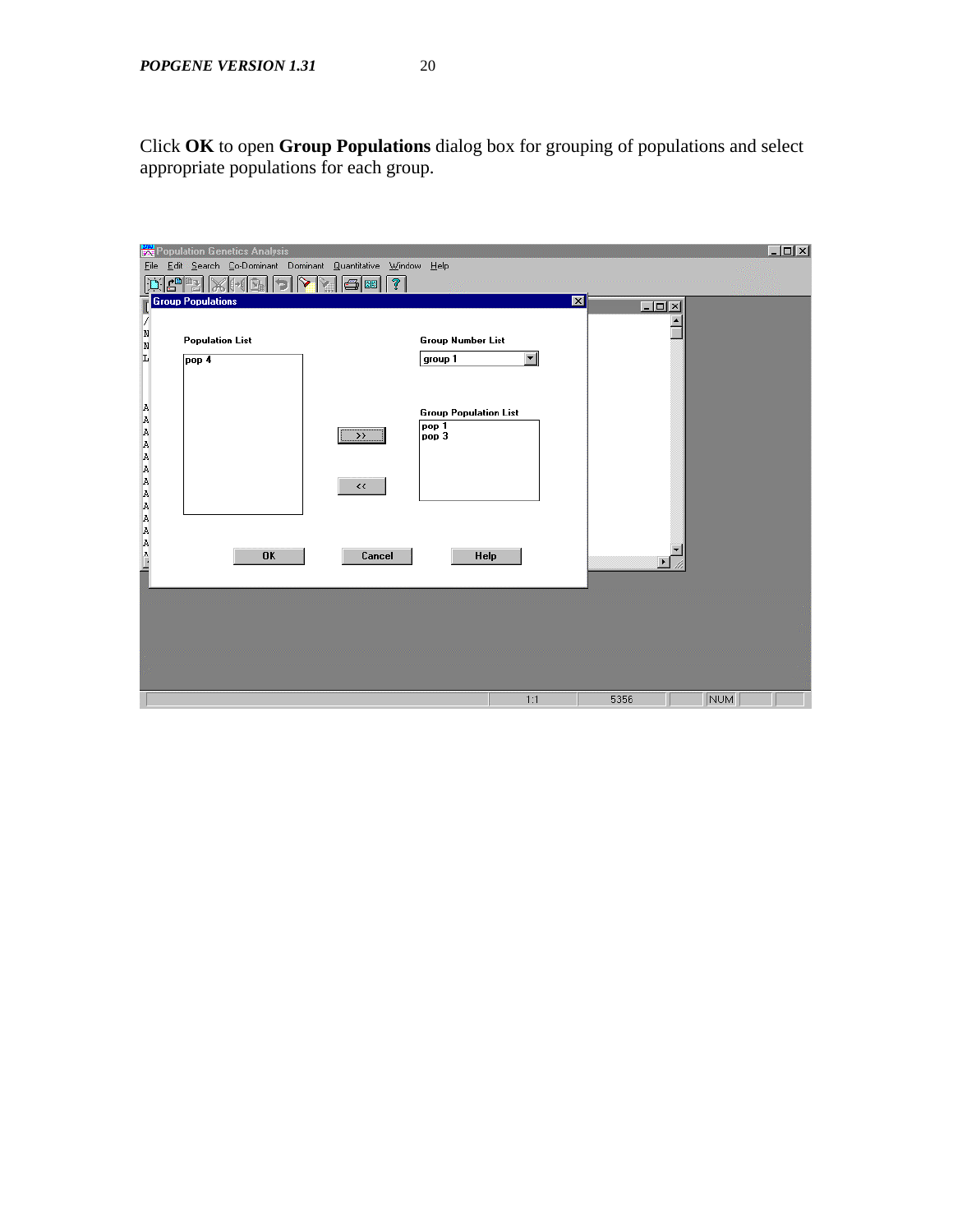Click **OK** to open **Group Populations** dialog box for grouping of populations and select appropriate populations for each group.

| <b>Population Genetics Analysis</b><br>Eile<br>$\mathbb{E}[\mathbb{E}[\mathbb{X}[\mathbb{H}[\mathbb{Z}]]\mathbb{B}]]$<br>$\mathbf{D}$<br><b>Group Populations</b> | Edit Search Co-Dominant Dominant Quantitative Window Help<br>$\blacktriangledown$ 6 H $?$    |                          | $\blacksquare$ |     | $ \Box$ $\times$ |
|-------------------------------------------------------------------------------------------------------------------------------------------------------------------|----------------------------------------------------------------------------------------------|--------------------------|----------------|-----|------------------|
| V<br>$\frac{\text{N}}{\text{N}}$<br><b>Population List</b><br>L<br>pop 4                                                                                          | <b>Group Number List</b><br>group 1                                                          | $\overline{\phantom{a}}$ | $-10x$         |     |                  |
| A A A A A A A A A A A A A A A A —                                                                                                                                 | <b>Group Population List</b><br>pop 1<br>$\rightarrow$<br>pop 3<br>$\boldsymbol{\checkmark}$ |                          |                |     |                  |
| <b>OK</b>                                                                                                                                                         | Cancel<br>Help                                                                               |                          |                |     |                  |
|                                                                                                                                                                   |                                                                                              | 1:1                      | 5356           | NUM |                  |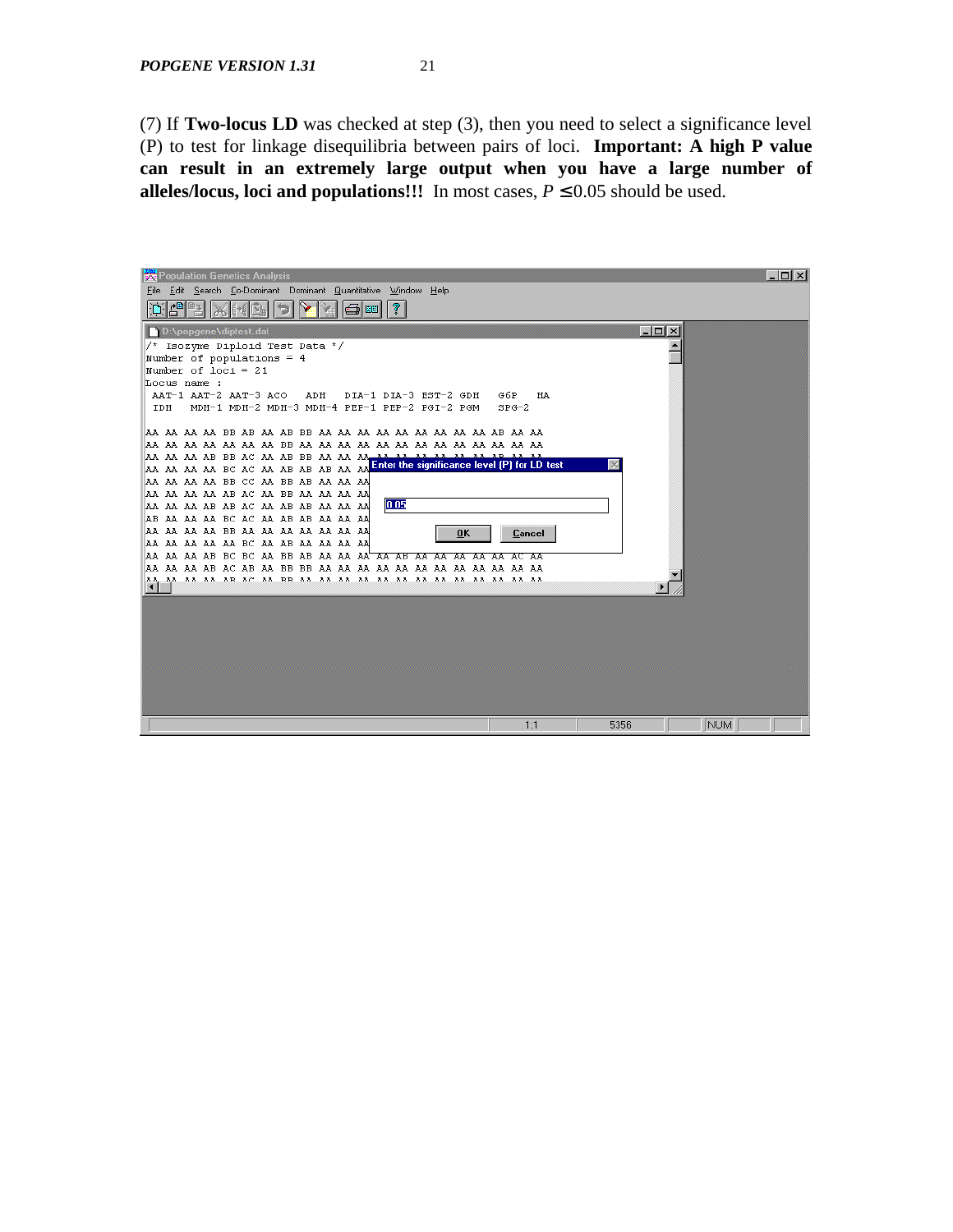(7) If **Two-locus LD** was checked at step (3), then you need to select a significance level (P) to test for linkage disequilibria between pairs of loci. **Important: A high P value can result in an extremely large output when you have a large number of alleles/locus, loci and populations!!!** In most cases, *P £* 0.05 should be used.

| <b>Population Genetics Analysis</b>                                                                                                   | $ \Box$ $\times$ |
|---------------------------------------------------------------------------------------------------------------------------------------|------------------|
| Edit Search Co-Dominant Dominant Quantitative Window Help<br>File<br>d <sup>a</sup> ri<br>⅋<br>图                                      |                  |
| $ \Box$ $\times$<br>D:\popgene\diptest.dat                                                                                            |                  |
| /* Isozyme Diploid Test Data */<br>Number of populations = $4$                                                                        |                  |
| Number of $loci = 21$<br>Locus name :                                                                                                 |                  |
| AAT-1 AAT-2 AAT-3 ACO<br>DIA-1 DIA-3 EST-2 GDH<br>G6P<br>HA<br>ADH<br>MDH-1 MDH-2 MDH-3 MDH-4 PEP-1 PEP-2 PGI-2 PGM<br>$SPG-2$<br>IDH |                  |
|                                                                                                                                       |                  |
| AA AA AA AB BB AC AA AB BB AA AA AA <del>, A</del>                                                                                    |                  |
| Enter the significance level (P) for LD test<br>AA AA AA AA BC AC AA AB AB AB AA AA<br>AA AA AA AA BB CC AA BB AB AA AA AA            |                  |
| AA AA AA AA AB AC AA BB AA AA AA AA<br> 0.05<br>AA AA AA AB AB AC AA AB AB AA AA AA                                                   |                  |
| AB AA AA AA BC AC AA AB AB AA AA AA<br>AA AA AA AA BB AA AA AA AA AA AA AA                                                            |                  |
| <b>OK</b><br>Cancel<br>AA AA AA AA AA BC AA AB AA AA AA AA                                                                            |                  |
| AA AA AA AB BC BC AA BB AB AA AA AA <del>' AA AB AA AA AA AA AC AA</del>                                                              |                  |
|                                                                                                                                       |                  |
|                                                                                                                                       |                  |
|                                                                                                                                       |                  |
|                                                                                                                                       |                  |
|                                                                                                                                       |                  |
| 1:1<br>5356<br>NUM                                                                                                                    |                  |
|                                                                                                                                       |                  |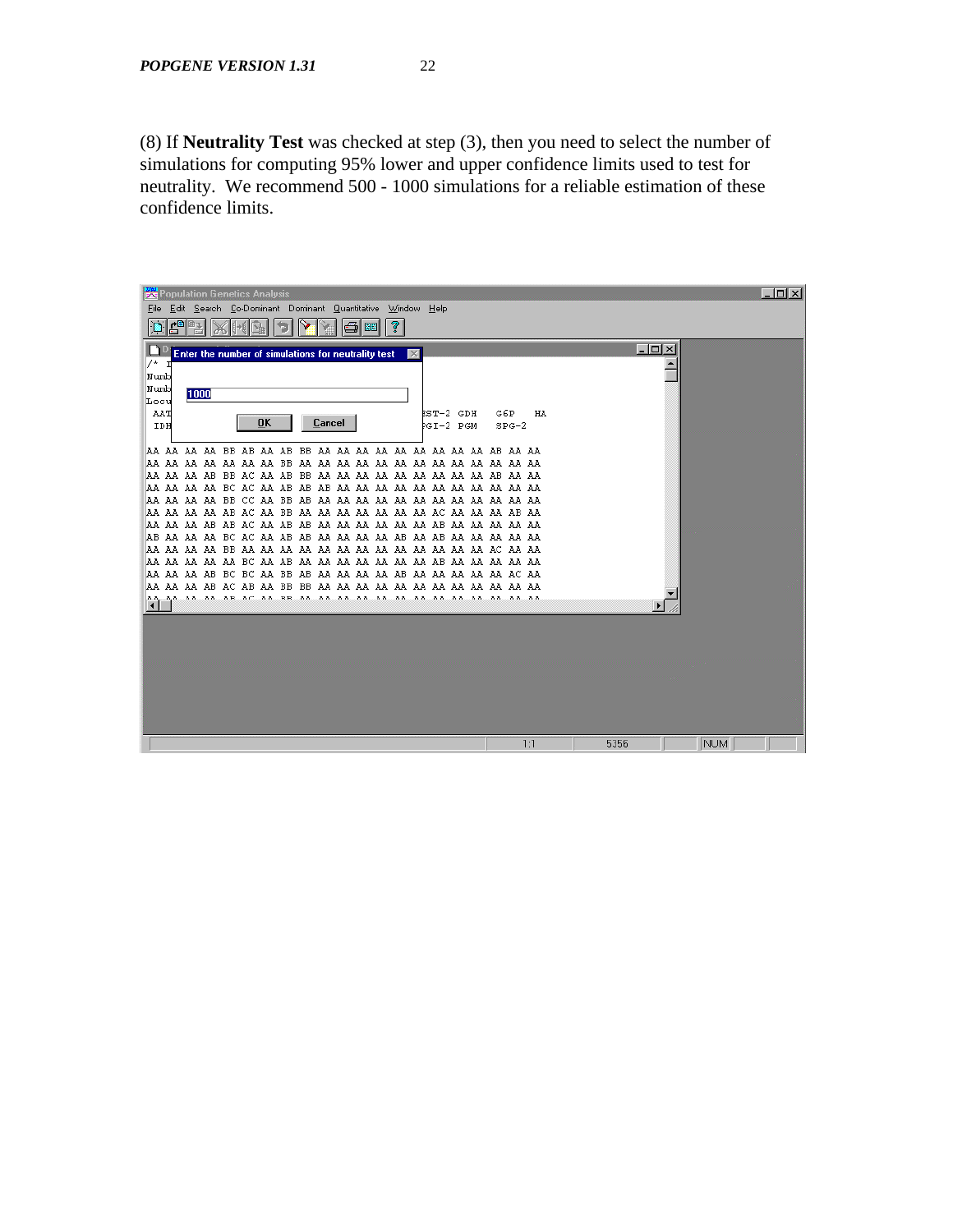(8) If **Neutrality Test** was checked at step (3), then you need to select the number of simulations for computing 95% lower and upper confidence limits used to test for neutrality. We recommend 500 - 1000 simulations for a reliable estimation of these confidence limits.

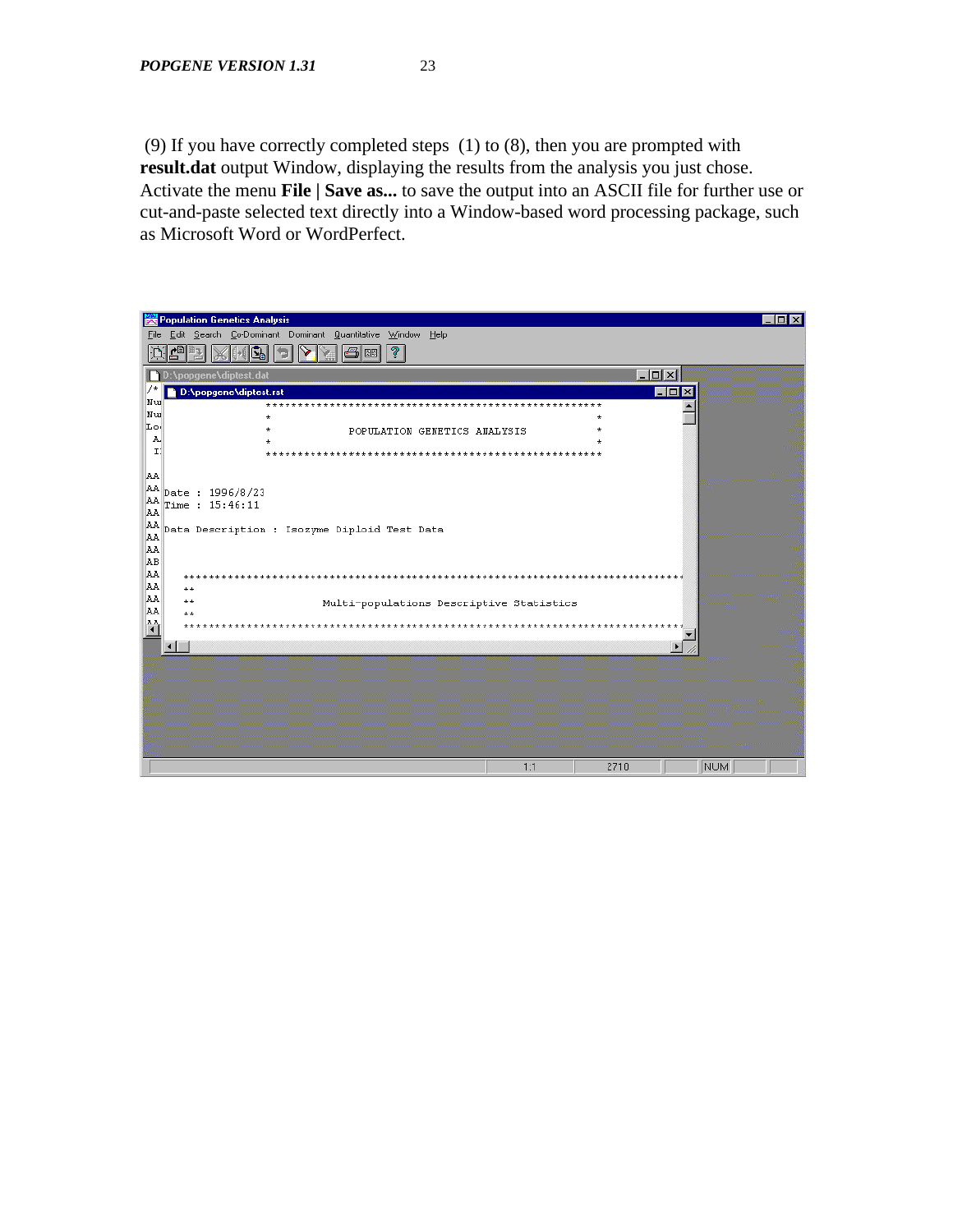(9) If you have correctly completed steps (1) to (8), then you are prompted with **result.dat** output Window, displaying the results from the analysis you just chose. Activate the menu **File | Save as...** to save the output into an ASCII file for further use or cut-and-paste selected text directly into a Window-based word processing package, such as Microsoft Word or WordPerfect.

|                                                                          | Population Genetics Analysis<br>$\blacksquare$ $\blacksquare$ $\times$ |
|--------------------------------------------------------------------------|------------------------------------------------------------------------|
|                                                                          | File Edit Search Co-Dominant Dominant Quantitative Window Help         |
|                                                                          | 쁸<br>ୃହ<br>図图                                                          |
|                                                                          | $L = x$<br>D:\popqene\diptest.dat                                      |
|                                                                          | D:\popgene\diptest.rst<br>$\blacksquare\square$                        |
| Nu                                                                       | ***********                                                            |
| Nu<br>Lo:                                                                |                                                                        |
| A,                                                                       | POPULATION GENETICS ANALYSIS                                           |
| $\mathbf{I}$                                                             | *********************                                                  |
|                                                                          |                                                                        |
| AA.                                                                      |                                                                        |
| AA                                                                       | Date: 1996/8/23                                                        |
| $_{\rm AA}^{\rm AA}$                                                     | Time : 15:46:11                                                        |
|                                                                          | Data Description : Isozyme Diploid Test Data                           |
| $\begin{array}{c} \mathtt{AA} \\ \mathtt{AA} \\ \mathtt{AA} \end{array}$ |                                                                        |
| ĀВ                                                                       |                                                                        |
| ĀΑ                                                                       |                                                                        |
| lΑ                                                                       | $+ +$<br>$+ +$                                                         |
| AA                                                                       | $+ +$<br>Multi-populations Descriptive Statistics                      |
| lΑ.                                                                      | $+ +$                                                                  |
| 쓲                                                                        |                                                                        |
|                                                                          |                                                                        |
|                                                                          |                                                                        |
|                                                                          |                                                                        |
|                                                                          |                                                                        |
|                                                                          |                                                                        |
|                                                                          |                                                                        |
|                                                                          |                                                                        |
|                                                                          |                                                                        |
|                                                                          | 1:1<br>2710<br>NUM                                                     |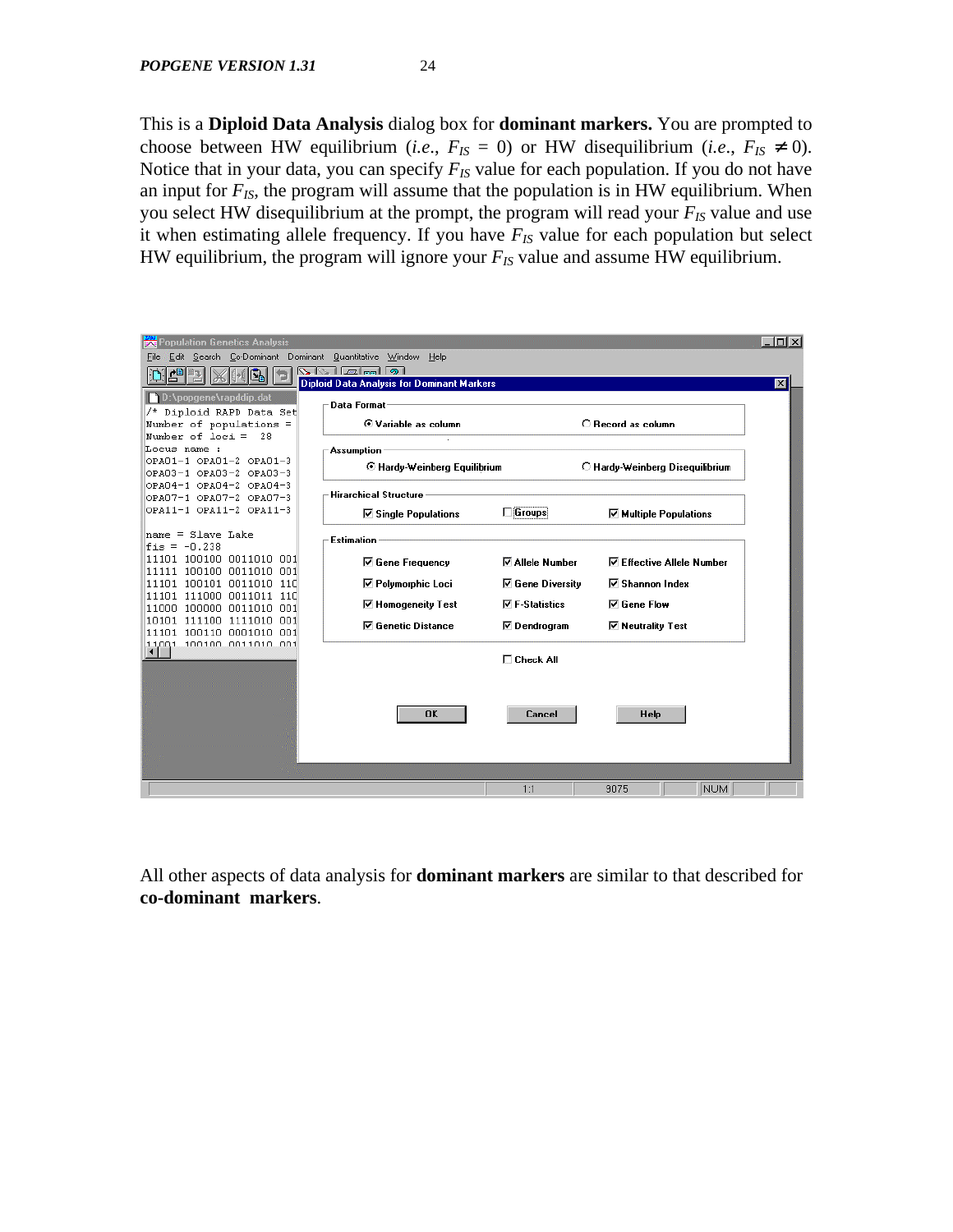This is a **Diploid Data Analysis** dialog box for **dominant markers.** You are prompted to choose between HW equilibrium (*i.e.*,  $F_{IS} = 0$ ) or HW disequilibrium (*i.e.*,  $F_{IS} \neq 0$ ). Notice that in your data, you can specify *FIS* value for each population. If you do not have an input for *FIS*, the program will assume that the population is in HW equilibrium. When you select HW disequilibrium at the prompt, the program will read your *FIS* value and use it when estimating allele frequency. If you have  $F_{IS}$  value for each population but select HW equilibrium, the program will ignore your *FIS* value and assume HW equilibrium.



All other aspects of data analysis for **dominant markers** are similar to that described for **co-dominant markers**.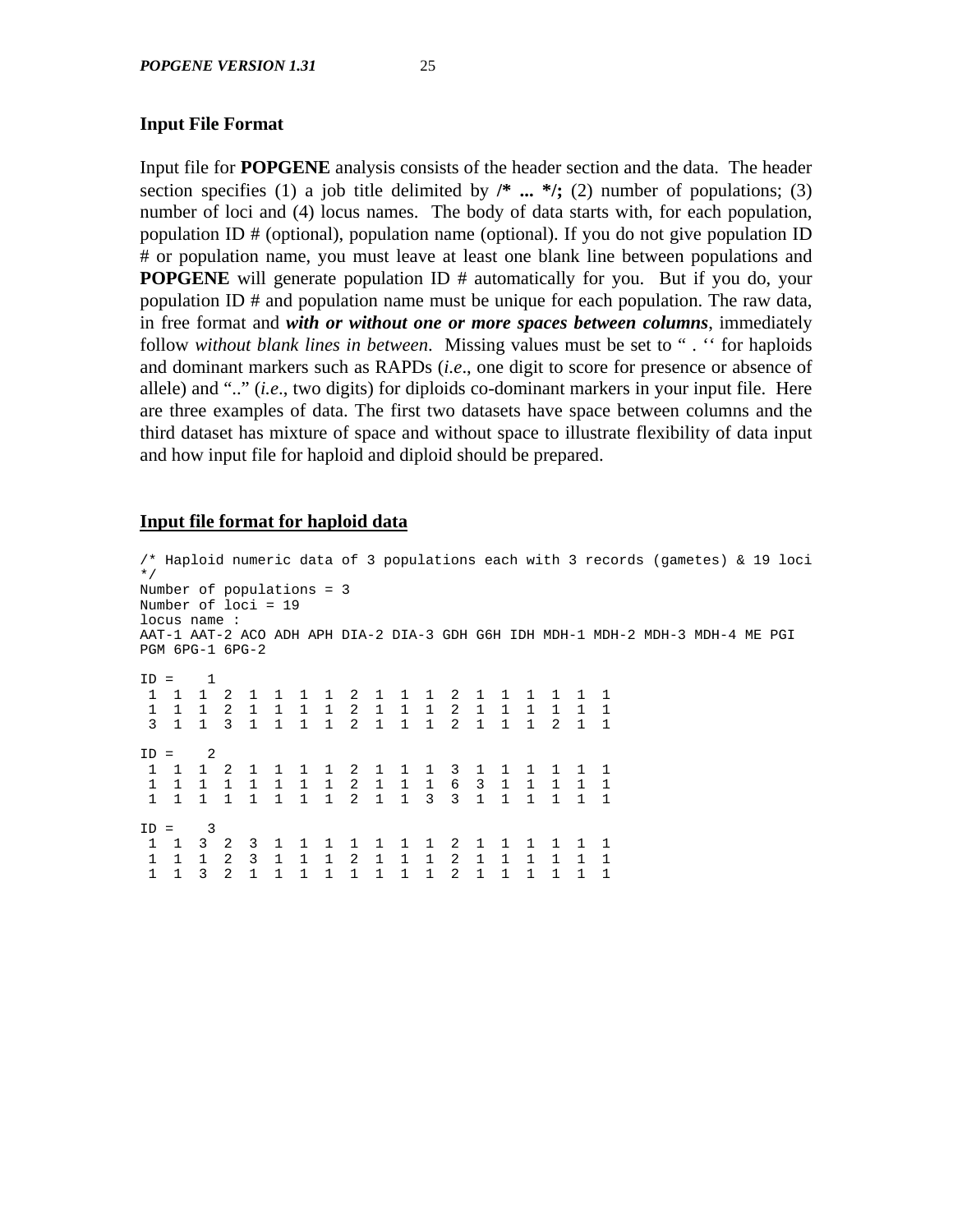#### **Input File Format**

Input file for **POPGENE** analysis consists of the header section and the data. The header section specifies (1) a job title delimited by  $\mathcal{N}^*$  ...  $\mathcal{N}$ ; (2) number of populations; (3) number of loci and (4) locus names. The body of data starts with, for each population, population ID # (optional), population name (optional). If you do not give population ID # or population name, you must leave at least one blank line between populations and **POPGENE** will generate population ID # automatically for you. But if you do, your population ID # and population name must be unique for each population. The raw data, in free format and *with or without one or more spaces between columns*, immediately follow *without blank lines in between*. Missing values must be set to " . '' for haploids and dominant markers such as RAPDs (*i.e*., one digit to score for presence or absence of allele) and ".." (*i.e*., two digits) for diploids co-dominant markers in your input file. Here are three examples of data. The first two datasets have space between columns and the third dataset has mixture of space and without space to illustrate flexibility of data input and how input file for haploid and diploid should be prepared.

#### **Input file format for haploid data**

/\* Haploid numeric data of 3 populations each with 3 records (gametes) & 19 loci \*/ Number of populations = 3 Number of loci = 19 locus name : AAT-1 AAT-2 ACO ADH APH DIA-2 DIA-3 GDH G6H IDH MDH-1 MDH-2 MDH-3 MDH-4 ME PGI PGM 6PG-1 6PG-2  $TD = 1$  1 1 1 2 1 1 1 1 2 1 1 1 2 1 1 1 1 1 1 1 1 1 2 1 1 1 1 2 1 1 1 2 1 1 1 1 1 1 3 1 1 3 1 1 1 1 2 1 1 1 2 1 1 1 2 1 1  $ID = 2$  1 1 1 2 1 1 1 1 2 1 1 1 3 1 1 1 1 1 1 1 1 1 1 1 1 1 1 2 1 1 1 6 3 1 1 1 1 1 1 1 1 1 1 1 1 1 2 1 1 3 3 1 1 1 1 1 1  $ID = 3$  1 1 3 2 3 1 1 1 1 1 1 1 2 1 1 1 1 1 1 1 1 1 2 3 1 1 1 2 1 1 1 2 1 1 1 1 1 1 1 1 3 2 1 1 1 1 1 1 1 1 2 1 1 1 1 1 1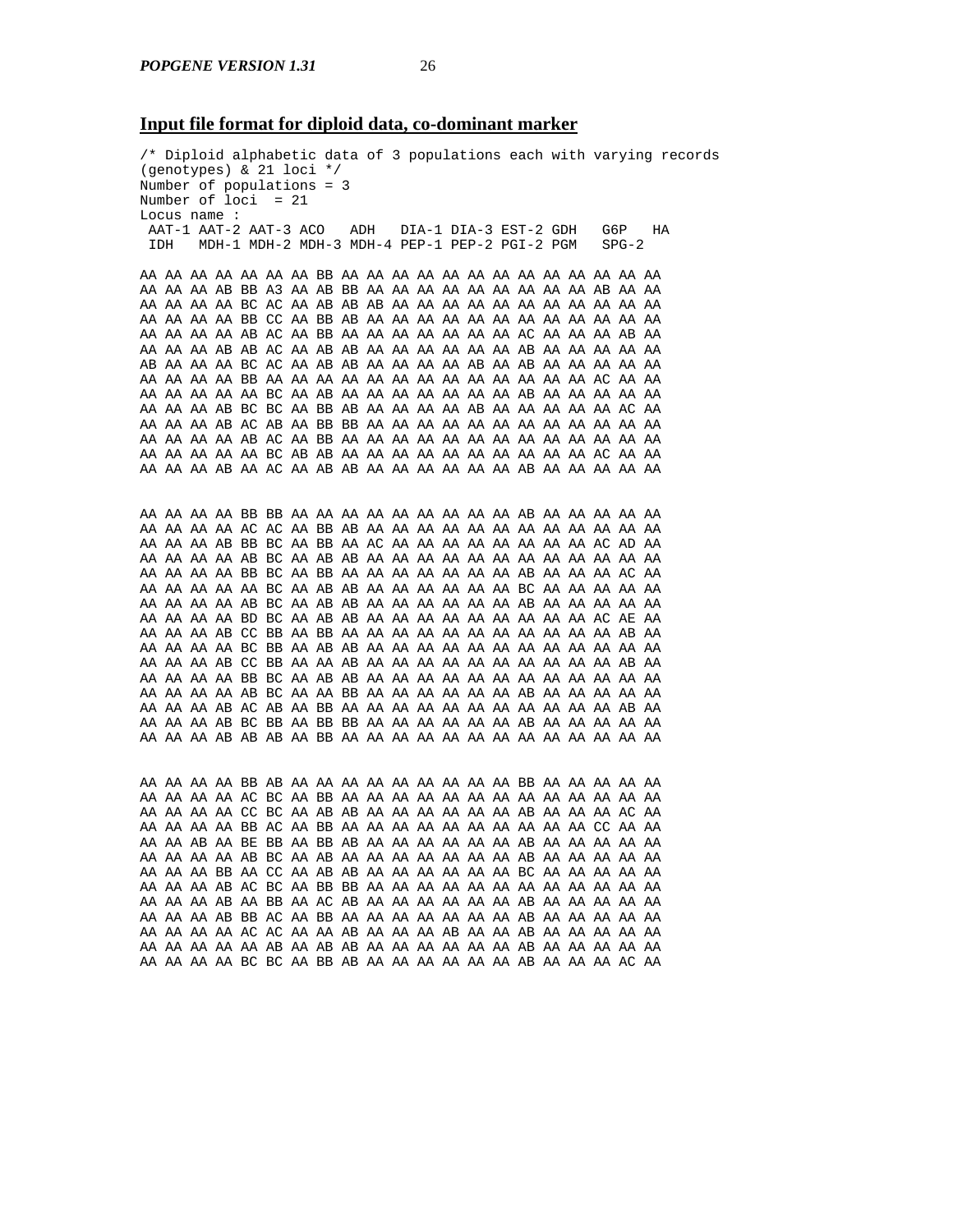#### **Input file format for diploid data, co-dominant marker**

/\* Diploid alphabetic data of 3 populations each with varying records (genotypes) & 21 loci \*/ Number of populations = 3 Number of loci = 21 Locus name : AAT-1 AAT-2 AAT-3 ACO ADH DIA-1 DIA-3 EST-2 GDH G6P HA IDH MDH-1 MDH-2 MDH-3 MDH-4 PEP-1 PEP-2 PGI-2 PGM AA AA AA AA AA AA AA BB AA AA AA AA AA AA AA AA AA AA AA AA AA AA AA AA AB BB A3 AA AB BB AA AA AA AA AA AA AA AA AA AB AA AA AA AA AA AA BC AC AA AB AB AB AA AA AA AA AA AA AA AA AA AA AA AA AA AA AA BB CC AA BB AB AA AA AA AA AA AA AA AA AA AA AA AA AA AA AA AA AB AC AA BB AA AA AA AA AA AA AA AC AA AA AA AB AA AA AA AA AB AB AC AA AB AB AA AA AA AA AA AA AB AA AA AA AA AA AB AA AA AA BC AC AA AB AB AA AA AA AA AB AA AB AA AA AA AA AA AA AA AA AA BB AA AA AA AA AA AA AA AA AA AA AA AA AA AC AA AA AA AA AA AA AA BC AA AB AA AA AA AA AA AA AA AB AA AA AA AA AA AA AA AA AB BC BC AA BB AB AA AA AA AA AB AA AA AA AA AA AC AA AA AA AA AB AC AB AA BB BB AA AA AA AA AA AA AA AA AA AA AA AA AA AA AA AA AB AC AA BB AA AA AA AA AA AA AA AA AA AA AA AA AA AA AA AA AA AA BC AB AB AA AA AA AA AA AA AA AA AA AA AC AA AA AA AA AA AB AA AC AA AB AB AA AA AA AA AA AA AB AA AA AA AA AA AA AA AA AA BB BB AA AA AA AA AA AA AA AA AA AB AA AA AA AA AA AA AA AA AA AC AC AA BB AB AA AA AA AA AA AA AA AA AA AA AA AA AA AA AA AB BB BC AA BB AA AC AA AA AA AA AA AA AA AA AC AD AA AA AA AA AA AB BC AA AB AB AA AA AA AA AA AA AA AA AA AA AA AA AA AA AA AA BB BC AA BB AA AA AA AA AA AA AA AB AA AA AA AC AA AA AA AA AA AA BC AA AB AB AA AA AA AA AA AA BC AA AA AA AA AA AA AA AA AA AB BC AA AB AB AA AA AA AA AA AA AB AA AA AA AA AA AA AA AA AA BD BC AA AB AB AA AA AA AA AA AA AA AA AA AC AE AA AA AA AA AB CC BB AA BB AA AA AA AA AA AA AA AA AA AA AA AB AA AA AA AA AA BC BB AA AB AB AA AA AA AA AA AA AA AA AA AA AA AA AA AA AA AB CC BB AA AA AB AA AA AA AA AA AA AA AA AA AA AB AA AA AA AA AA BB BC AA AB AB AA AA AA AA AA AA AA AA AA AA AA AA AA AA AA AA AB BC AA AA BB AA AA AA AA AA AA AB AA AA AA AA AA AA AA AA AB AC AB AA BB AA AA AA AA AA AA AA AA AA AA AA AB AA AA AA AA AB BC BB AA BB BB AA AA AA AA AA AA AB AA AA AA AA AA AA AA AA AB AB AB AA BB AA AA AA AA AA AA AA AA AA AA AA AA AA AA AA AA AA BB AB AA AA AA AA AA AA AA AA AA BB AA AA AA AA AA AA AA AA AA AC BC AA BB AA AA AA AA AA AA AA AA AA AA AA AA AA AA AA AA AA CC BC AA AB AB AA AA AA AA AA AA AB AA AA AA AC AA AA AA AA AA BB AC AA BB AA AA AA AA AA AA AA AA AA AA CC AA AA AA AA AB AA BE BB AA BB AB AA AA AA AA AA AA AB AA AA AA AA AA AA AA AA AA AB BC AA AB AA AA AA AA AA AA AA AB AA AA AA AA AA AA AA AA BB AA CC AA AB AB AA AA AA AA AA AA BC AA AA AA AA AA AA AA AA AB AC BC AA BB BB AA AA AA AA AA AA AA AA AA AA AA AA AA AA AA AB AA BB AA AC AB AA AA AA AA AA AA AB AA AA AA AA AA AA AA AA AB BB AC AA BB AA AA AA AA AA AA AA AB AA AA AA AA AA

AA AA AA AA AC AC AA AA AB AA AA AA AB AA AA AB AA AA AA AA AA AA AA AA AA AA AB AA AB AB AA AA AA AA AA AA AB AA AA AA AA AA AA AA AA AA BC BC AA BB AB AA AA AA AA AA AA AB AA AA AA AC AA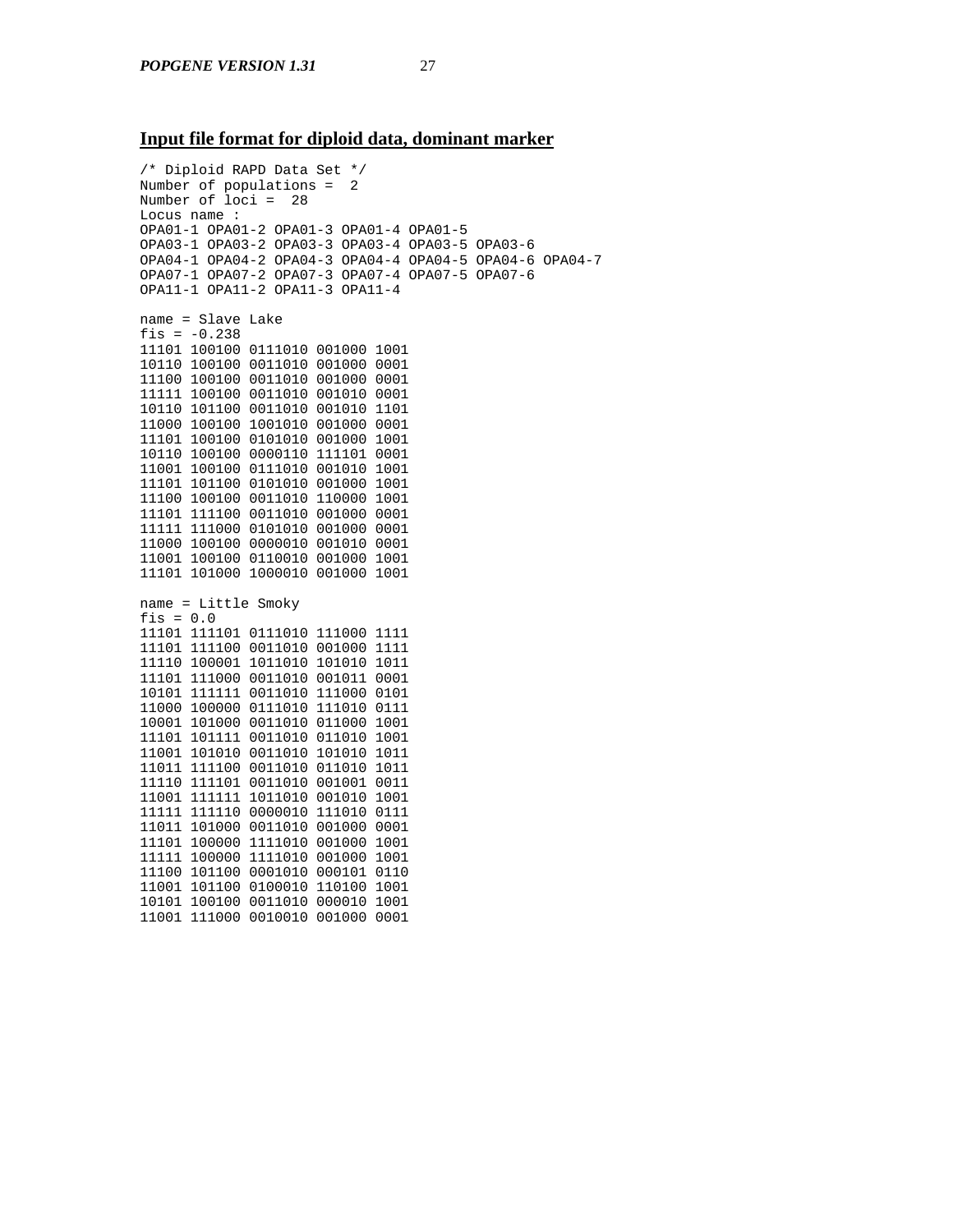#### **Input file format for diploid data, dominant marker**